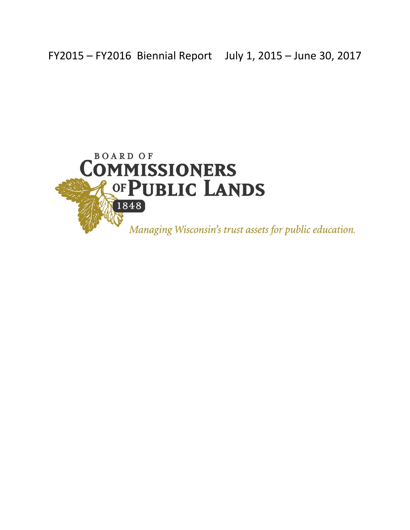FY2015 – FY2016 Biennial Report July 1, 2015 – June 30, 2017

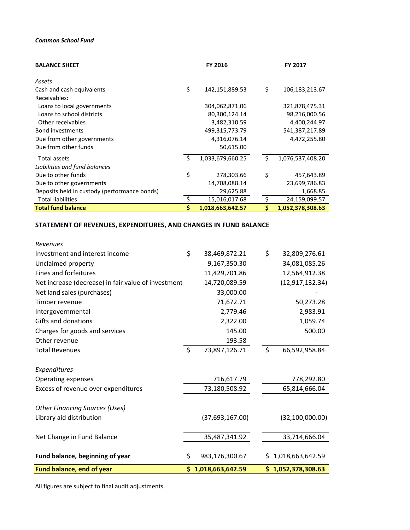#### *Common School Fund*

| <b>BALANCE SHEET</b>                         |     | <b>FY 2016</b>   |    | <b>FY 2017</b>   |
|----------------------------------------------|-----|------------------|----|------------------|
| Assets                                       |     |                  |    |                  |
| Cash and cash equivalents                    | \$  | 142,151,889.53   | \$ | 106,183,213.67   |
| Receivables:                                 |     |                  |    |                  |
| Loans to local governments                   |     | 304,062,871.06   |    | 321,878,475.31   |
| Loans to school districts                    |     | 80,300,124.14    |    | 98,216,000.56    |
| Other receivables                            |     | 3,482,310.59     |    | 4,400,244.97     |
| <b>Bond investments</b>                      |     | 499,315,773.79   |    | 541,387,217.89   |
| Due from other governments                   |     | 4,316,076.14     |    | 4,472,255.80     |
| Due from other funds                         |     | 50,615.00        |    |                  |
| <b>Total assets</b>                          | .\$ | 1,033,679,660.25 | Ŝ. | 1,076,537,408.20 |
| Liabilities and fund balances                |     |                  |    |                  |
| Due to other funds                           | \$  | 278,303.66       | \$ | 457,643.89       |
| Due to other governments                     |     | 14,708,088.14    |    | 23,699,786.83    |
| Deposits held in custody (performance bonds) |     | 29,625.88        |    | 1,668.85         |
| <b>Total liabilities</b>                     |     | 15,016,017.68    |    | 24,159,099.57    |
| <b>Total fund balance</b>                    |     | 1,018,663,642.57 | \$ | 1,052,378,308.63 |

# **STATEMENT OF REVENUES, EXPENDITURES, AND CHANGES IN FUND BALANCE**

| Revenues                                            |         |                    |     |                    |
|-----------------------------------------------------|---------|--------------------|-----|--------------------|
| Investment and interest income                      | \$      | 38,469,872.21      | \$  | 32,809,276.61      |
| Unclaimed property                                  |         | 9,167,350.30       |     | 34,081,085.26      |
| Fines and forfeitures                               |         | 11,429,701.86      |     | 12,564,912.38      |
| Net increase (decrease) in fair value of investment |         | 14,720,089.59      |     | (12, 917, 132.34)  |
| Net land sales (purchases)                          |         | 33,000.00          |     |                    |
| Timber revenue                                      |         | 71,672.71          |     | 50,273.28          |
| Intergovernmental                                   |         | 2,779.46           |     | 2,983.91           |
| Gifts and donations                                 |         | 2,322.00           |     | 1,059.74           |
| Charges for goods and services                      |         | 145.00             |     | 500.00             |
| Other revenue                                       |         | 193.58             |     |                    |
| <b>Total Revenues</b>                               | $\zeta$ | 73,897,126.71      | \$  | 66,592,958.84      |
|                                                     |         |                    |     |                    |
| Expenditures                                        |         |                    |     |                    |
| Operating expenses                                  |         | 716,617.79         |     | 778,292.80         |
| Excess of revenue over expenditures                 |         | 73,180,508.92      |     | 65,814,666.04      |
| <b>Other Financing Sources (Uses)</b>               |         |                    |     |                    |
| Library aid distribution                            |         | (37,693,167.00)    |     | (32, 100, 000.00)  |
|                                                     |         |                    |     |                    |
| Net Change in Fund Balance                          |         | 35,487,341.92      |     | 33,714,666.04      |
| Fund balance, beginning of year                     | \$      | 983,176,300.67     | \$. | 1,018,663,642.59   |
| Fund balance, end of year                           |         | \$1,018,663,642.59 |     | \$1,052,378,308.63 |

All figures are subject to final audit adjustments.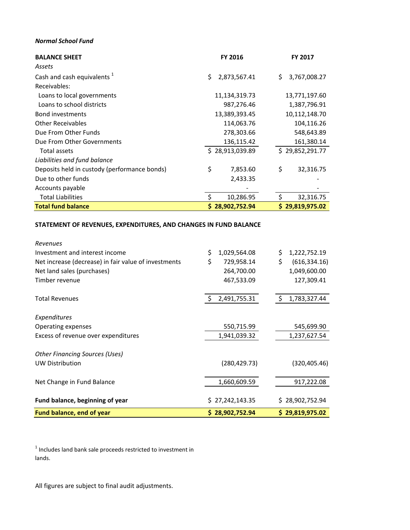#### *Normal School Fund*

| <b>BALANCE SHEET</b>                         | FY 2016            | FY 2017             |
|----------------------------------------------|--------------------|---------------------|
| Assets                                       |                    |                     |
| Cash and cash equivalents <sup>1</sup>       | \$<br>2,873,567.41 | 3,767,008.27<br>\$. |
| Receivables:                                 |                    |                     |
| Loans to local governments                   | 11,134,319.73      | 13,771,197.60       |
| Loans to school districts                    | 987,276.46         | 1,387,796.91        |
| <b>Bond investments</b>                      | 13,389,393.45      | 10,112,148.70       |
| <b>Other Receivables</b>                     | 114,063.76         | 104,116.26          |
| Due From Other Funds                         | 278,303.66         | 548,643.89          |
| Due From Other Governments                   | 136,115.42         | 161,380.14          |
| Total assets                                 | \$28,913,039.89    | \$29,852,291.77     |
| Liabilities and fund balance                 |                    |                     |
| Deposits held in custody (performance bonds) | \$<br>7,853.60     | \$<br>32,316.75     |
| Due to other funds                           | 2,433.35           |                     |
| Accounts payable                             |                    |                     |
| <b>Total Liabilities</b>                     | \$<br>10,286.95    | Ŝ.<br>32,316.75     |
| <b>Total fund balance</b>                    | 28,902,752.94<br>S | \$29,819,975.02     |

#### **STATEMENT OF REVENUES, EXPENDITURES, AND CHANGES IN FUND BALANCE**

| <b>Fund balance, end of year</b>                                | \$28,902,752.94    | \$29,819,975.02     |
|-----------------------------------------------------------------|--------------------|---------------------|
| Fund balance, beginning of year                                 | \$27,242,143.35    | \$28,902,752.94     |
| Net Change in Fund Balance                                      | 1,660,609.59       | 917,222.08          |
|                                                                 | (280, 429.73)      |                     |
| <b>Other Financing Sources (Uses)</b><br><b>UW Distribution</b> |                    | (320, 405.46)       |
|                                                                 |                    |                     |
| Excess of revenue over expenditures                             | 1,941,039.32       | 1,237,627.54        |
| Operating expenses                                              | 550,715.99         | 545,699.90          |
| Expenditures                                                    |                    |                     |
| <b>Total Revenues</b>                                           | \$<br>2,491,755.31 | \$<br>1,783,327.44  |
| Timber revenue                                                  | 467,533.09         | 127,309.41          |
| Net land sales (purchases)                                      | 264,700.00         | 1,049,600.00        |
| Net increase (decrease) in fair value of investments            | \$<br>729,958.14   | \$<br>(616, 334.16) |
| Investment and interest income                                  | \$<br>1,029,564.08 | \$<br>1,222,752.19  |
| Revenues                                                        |                    |                     |

 $1$  Includes land bank sale proceeds restricted to investment in lands.

All figures are subject to final audit adjustments.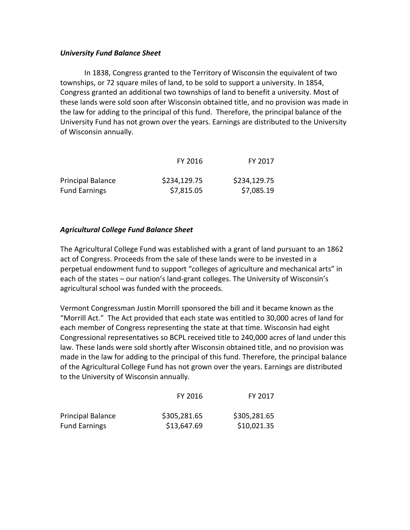### *University Fund Balance Sheet*

In 1838, Congress granted to the Territory of Wisconsin the equivalent of two townships, or 72 square miles of land, to be sold to support a university. In 1854, Congress granted an additional two townships of land to benefit a university. Most of these lands were sold soon after Wisconsin obtained title, and no provision was made in the law for adding to the principal of this fund. Therefore, the principal balance of the University Fund has not grown over the years. Earnings are distributed to the University of Wisconsin annually.

|                          | FY 2016      | FY 2017      |
|--------------------------|--------------|--------------|
| <b>Principal Balance</b> | \$234,129.75 | \$234,129.75 |
| <b>Fund Earnings</b>     | \$7,815.05   | \$7,085.19   |

# *Agricultural College Fund Balance Sheet*

The Agricultural College Fund was established with a grant of land pursuant to an 1862 act of Congress. Proceeds from the sale of these lands were to be invested in a perpetual endowment fund to support "colleges of agriculture and mechanical arts" in each of the states – our nation's land-grant colleges. The University of Wisconsin's agricultural school was funded with the proceeds.

Vermont Congressman Justin Morrill sponsored the bill and it became known as the "Morrill Act." The Act provided that each state was entitled to 30,000 acres of land for each member of Congress representing the state at that time. Wisconsin had eight Congressional representatives so BCPL received title to 240,000 acres of land under this law. These lands were sold shortly after Wisconsin obtained title, and no provision was made in the law for adding to the principal of this fund. Therefore, the principal balance of the Agricultural College Fund has not grown over the years. Earnings are distributed to the University of Wisconsin annually.

|                          | FY 2016      | FY 2017      |
|--------------------------|--------------|--------------|
| <b>Principal Balance</b> | \$305,281.65 | \$305,281.65 |
| <b>Fund Earnings</b>     | \$13,647.69  | \$10,021.35  |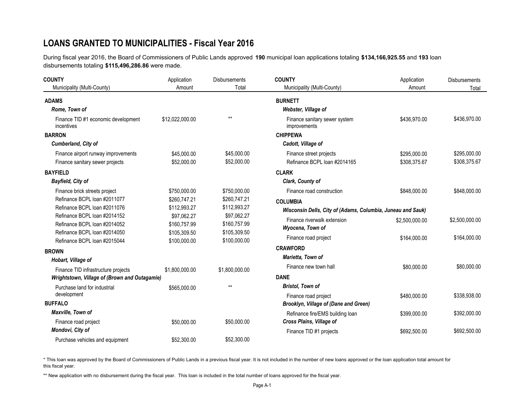# **LOANS GRANTED TO MUNICIPALITIES - Fiscal Year 2016**

During fiscal year 2016, the Board of Commissioners of Public Lands approved **190** municipal loan applications totaling **\$134,166,925.55** and **193** loan disbursements totaling **\$115,496,286.86** were made.

| <b>COUNTY</b>                                                          | Application                  | <b>Disbursements</b>         | <b>COUNTY</b>                                               | Application                  | <b>Disbursements</b>         |  |
|------------------------------------------------------------------------|------------------------------|------------------------------|-------------------------------------------------------------|------------------------------|------------------------------|--|
| Municipality (Multi-County)                                            | Amount                       | Total                        | Municipality (Multi-County)                                 | Amount                       | Total                        |  |
| <b>ADAMS</b>                                                           |                              |                              | <b>BURNETT</b>                                              |                              |                              |  |
| Rome, Town of                                                          |                              |                              | Webster, Village of                                         |                              |                              |  |
| Finance TID #1 economic development<br>incentives                      | \$12,022,000.00              | $**$                         | Finance sanitary sewer system<br>improvements               | \$436,970.00                 | \$436,970.00                 |  |
| <b>BARRON</b>                                                          |                              |                              | <b>CHIPPEWA</b>                                             |                              |                              |  |
| Cumberland, City of                                                    |                              |                              | Cadott, Village of                                          |                              |                              |  |
| Finance airport runway improvements<br>Finance sanitary sewer projects | \$45,000.00<br>\$52,000.00   | \$45,000.00<br>\$52,000.00   | Finance street projects<br>Refinance BCPL loan #2014165     | \$295,000.00<br>\$308,375.67 | \$295,000.00<br>\$308,375.67 |  |
| <b>BAYFIELD</b>                                                        |                              |                              | <b>CLARK</b>                                                |                              |                              |  |
| <b>Bayfield, City of</b>                                               |                              |                              | Clark, County of                                            |                              |                              |  |
| Finance brick streets project                                          | \$750,000.00                 | \$750,000.00                 | Finance road construction                                   | \$848,000.00                 | \$848,000.00                 |  |
| Refinance BCPL loan #2011077<br>Refinance BCPL loan #2011076           | \$260.747.21<br>\$112,993.27 | \$260,747.21<br>\$112,993.27 | <b>COLUMBIA</b>                                             |                              |                              |  |
| Refinance BCPL Ioan #2014152                                           | \$97,062.27                  | \$97,062.27                  | Wisconsin Dells, City of (Adams, Columbia, Juneau and Sauk) |                              |                              |  |
| Refinance BCPL Ioan #2014052                                           | \$160,757.99                 | \$160,757.99                 | Finance riverwalk extension<br>Wyocena, Town of             | \$2,500,000.00               | \$2,500,000.00               |  |
| Refinance BCPL loan #2014050                                           | \$105,309.50                 | \$105,309.50                 | Finance road project                                        | \$164,000.00                 | \$164,000.00                 |  |
| Refinance BCPL loan #2015044                                           | \$100,000.00                 | \$100,000.00                 | <b>CRAWFORD</b>                                             |                              |                              |  |
| <b>BROWN</b>                                                           |                              |                              | Marietta, Town of                                           |                              |                              |  |
| Hobart, Village of                                                     |                              |                              |                                                             |                              |                              |  |
| Finance TID infrastructure projects                                    | \$1,800,000.00               | \$1,800,000.00               | Finance new town hall                                       | \$80,000.00                  | \$80,000.00                  |  |
| Wrightstown, Village of (Brown and Outagamie)                          |                              |                              | <b>DANE</b>                                                 |                              |                              |  |
| Purchase land for industrial                                           | \$565,000.00                 | $***$                        | <b>Bristol, Town of</b>                                     |                              |                              |  |
| development                                                            |                              |                              | Finance road project                                        | \$480,000.00                 | \$338,938.00                 |  |
| <b>BUFFALO</b>                                                         |                              |                              | Brooklyn, Village of (Dane and Green)                       |                              |                              |  |
| Maxville, Town of                                                      |                              |                              | Refinance fire/EMS building loan                            | \$399,000.00                 | \$392,000.00                 |  |
| Finance road project                                                   | \$50,000.00                  | \$50,000.00                  | Cross Plains, Village of                                    |                              |                              |  |
| Mondovi, City of                                                       |                              |                              | Finance TID #1 projects                                     | \$692,500.00                 | \$692,500.00                 |  |
| Purchase vehicles and equipment                                        | \$52,300.00                  | \$52,300.00                  |                                                             |                              |                              |  |

\* This loan was approved by the Board of Commissioners of Public Lands in a previous fiscal year. It is not included in the number of new loans approved or the loan application total amount for this fiscal year.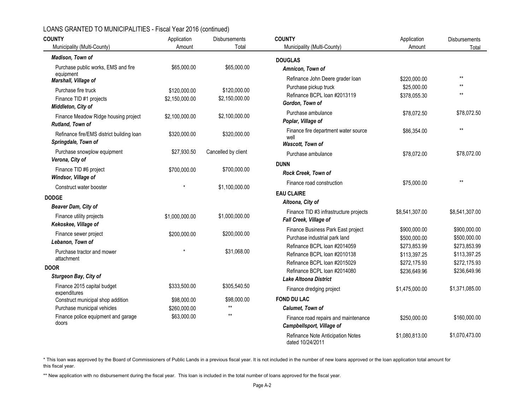| <b>COUNTY</b>                                                    | Application    | Disbursements       | <b>COUNTY</b>                                                       | Application                  | Disbursements                |
|------------------------------------------------------------------|----------------|---------------------|---------------------------------------------------------------------|------------------------------|------------------------------|
| Municipality (Multi-County)                                      | Amount         | Total               | Municipality (Multi-County)                                         | Amount                       | Total                        |
| Madison, Town of                                                 |                |                     | <b>DOUGLAS</b>                                                      |                              |                              |
| Purchase public works, EMS and fire<br>equipment                 | \$65,000.00    | \$65,000.00         | Amnicon, Town of                                                    |                              |                              |
| Marshall, Village of                                             |                |                     | Refinance John Deere grader loan                                    | \$220,000.00                 | $**$                         |
| Purchase fire truck                                              | \$120,000.00   | \$120,000.00        | Purchase pickup truck                                               | \$25,000.00                  | $\star\star$                 |
| Finance TID #1 projects<br>Middleton, City of                    | \$2,150,000.00 | \$2,150,000.00      | Refinance BCPL loan #2013119<br>Gordon, Town of                     | \$378,055.30                 | $\star\star$                 |
| Finance Meadow Ridge housing project<br>Rutland, Town of         | \$2,100,000.00 | \$2,100,000.00      | Purchase ambulance<br>Poplar, Village of                            | \$78,072.50                  | \$78,072.50                  |
| Refinance fire/EMS district building loan<br>Springdale, Town of | \$320,000.00   | \$320,000.00        | Finance fire department water source<br>well<br>Wascott, Town of    | \$86,354.00                  | $\star\star$                 |
| Purchase snowplow equipment<br>Verona, City of                   | \$27,930.50    | Cancelled by client | Purchase ambulance                                                  | \$78,072.00                  | \$78,072.00                  |
| Finance TID #6 project<br>Windsor, Village of                    | \$700,000.00   | \$700,000.00        | <b>DUNN</b><br>Rock Creek, Town of                                  |                              |                              |
| Construct water booster                                          |                | \$1,100,000.00      | Finance road construction                                           | \$75,000.00                  | $\star\star$                 |
| <b>DODGE</b>                                                     |                |                     | <b>EAU CLAIRE</b>                                                   |                              |                              |
| Beaver Dam, City of                                              |                |                     | Altoona, City of                                                    |                              |                              |
| Finance utility projects<br>Kekoskee, Village of                 | \$1,000,000.00 | \$1,000,000.00      | Finance TID #3 infrastructure projects<br>Fall Creek, Village of    | \$8,541,307.00               | \$8,541,307.00               |
| Finance sewer project<br>Lebanon, Town of                        | \$200,000.00   | \$200,000.00        | Finance Business Park East project<br>Purchase industrial park land | \$900,000.00<br>\$500,000.00 | \$900,000.00<br>\$500,000.00 |
| Purchase tractor and mower<br>attachment                         |                | \$31,068.00         | Refinance BCPL loan #2014059<br>Refinance BCPL loan #2010138        | \$273.853.99<br>\$113,397.25 | \$273,853.99<br>\$113,397.25 |
| <b>DOOR</b>                                                      |                |                     | Refinance BCPL loan #2015029<br>Refinance BCPL loan #2014080        | \$272,175.93                 | \$272,175.93                 |
| Sturgeon Bay, City of                                            |                |                     | <b>Lake Altoona District</b>                                        | \$236,649.96                 | \$236,649.96                 |
| Finance 2015 capital budget<br>expenditures                      | \$333,500.00   | \$305,540.50        | Finance dredging project                                            | \$1,475,000.00               | \$1,371,085.00               |
| Construct municipal shop addition                                | \$98,000.00    | \$98,000.00         | <b>FOND DU LAC</b>                                                  |                              |                              |
| Purchase municipal vehicles                                      | \$260,000.00   | $**$                | Calumet, Town of                                                    |                              |                              |
| Finance police equipment and garage<br>doors                     | \$63,000.00    | $**$                | Finance road repairs and maintenance<br>Campbellsport, Village of   | \$250,000.00                 | \$160,000.00                 |
|                                                                  |                |                     | Refinance Note Anticipation Notes<br>dated 10/24/2011               | \$1,080,813.00               | \$1,070,473.00               |

\* This loan was approved by the Board of Commissioners of Public Lands in a previous fiscal year. It is not included in the number of new loans approved or the loan application total amount for this fiscal year.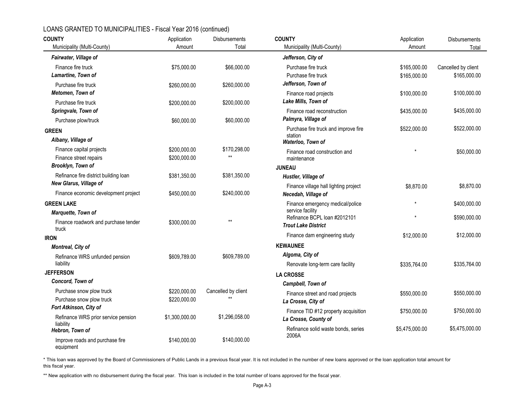| <b>COUNTY</b>                                      | Application    | Disbursements               | <b>COUNTY</b>                                    | Application    | Disbursements       |  |
|----------------------------------------------------|----------------|-----------------------------|--------------------------------------------------|----------------|---------------------|--|
| Municipality (Multi-County)                        | Amount         | Total                       | Municipality (Multi-County)                      | Amount         | Total               |  |
| Fairwater, Village of                              |                |                             | Jefferson, City of                               |                |                     |  |
| Finance fire truck                                 | \$75,000.00    | \$66,000.00                 | Purchase fire truck                              | \$165,000.00   | Cancelled by client |  |
| Lamartine, Town of                                 |                |                             | Purchase fire truck                              | \$165,000.00   | \$165,000.00        |  |
| Purchase fire truck                                | \$260,000.00   | \$260,000.00                | Jefferson, Town of                               |                |                     |  |
| Metomen, Town of                                   |                |                             | Finance road projects                            | \$100,000.00   | \$100,000.00        |  |
| Purchase fire truck                                | \$200,000.00   | \$200,000.00                | Lake Mills, Town of                              |                |                     |  |
| Springvale, Town of                                |                |                             | Finance road reconstruction                      | \$435,000.00   | \$435,000.00        |  |
| Purchase plow/truck                                | \$60,000.00    | \$60,000.00                 | Palmyra, Village of                              |                |                     |  |
| <b>GREEN</b>                                       |                |                             | Purchase fire truck and improve fire             | \$522,000.00   | \$522,000.00        |  |
| Albany, Village of                                 |                |                             | station<br>Waterloo, Town of                     |                |                     |  |
| Finance capital projects                           | \$200,000.00   | \$170,298.00                | Finance road construction and                    |                | \$50,000.00         |  |
| Finance street repairs                             | \$200,000.00   | $**$                        | maintenance                                      |                |                     |  |
| Brooklyn, Town of                                  |                |                             | <b>JUNEAU</b>                                    |                |                     |  |
| Refinance fire district building loan              | \$381,350.00   | \$381,350.00                | Hustler, Village of                              |                |                     |  |
| New Glarus, Village of                             |                |                             | Finance village hall lighting project            | \$8,870.00     | \$8,870.00          |  |
| Finance economic development project               | \$450,000.00   | \$240,000.00                | Necedah, Village of                              |                |                     |  |
| <b>GREEN LAKE</b>                                  |                |                             | Finance emergency medical/police                 |                | \$400,000.00        |  |
| Marquette, Town of                                 |                |                             | service facility<br>Refinance BCPL Ioan #2012101 |                |                     |  |
| Finance roadwork and purchase tender               | \$300,000.00   | $**$                        | <b>Trout Lake District</b>                       |                | \$590,000.00        |  |
| truck                                              |                |                             |                                                  | \$12,000.00    | \$12,000.00         |  |
| <b>IRON</b>                                        |                |                             | Finance dam engineering study                    |                |                     |  |
| Montreal, City of                                  |                |                             | <b>KEWAUNEE</b>                                  |                |                     |  |
| Refinance WRS unfunded pension                     | \$609,789.00   | \$609,789.00                | Algoma, City of                                  |                |                     |  |
| liability                                          |                |                             | Renovate long-term care facility                 | \$335,764.00   | \$335.764.00        |  |
| <b>JEFFERSON</b>                                   |                |                             | <b>LA CROSSE</b>                                 |                |                     |  |
| Concord, Town of                                   |                |                             | Campbell, Town of                                |                |                     |  |
| Purchase snow plow truck                           | \$220,000.00   | Cancelled by client<br>$**$ | Finance street and road projects                 | \$550,000.00   | \$550,000.00        |  |
| Purchase snow plow truck<br>Fort Atkinson, City of | \$220,000.00   |                             | La Crosse, City of                               |                |                     |  |
|                                                    |                | \$1,296,058.00              | Finance TID #12 property acquisition             | \$750,000.00   | \$750,000.00        |  |
| Refinance WRS prior service pension<br>liability   | \$1,300,000.00 |                             | La Crosse, County of                             |                |                     |  |
| Hebron, Town of                                    |                |                             | Refinance solid waste bonds, series              | \$5,475,000.00 | \$5,475,000.00      |  |
| Improve roads and purchase fire<br>equipment       | \$140,000.00   | \$140,000.00                | 2006A                                            |                |                     |  |

\* This loan was approved by the Board of Commissioners of Public Lands in a previous fiscal year. It is not included in the number of new loans approved or the loan application total amount for this fiscal year.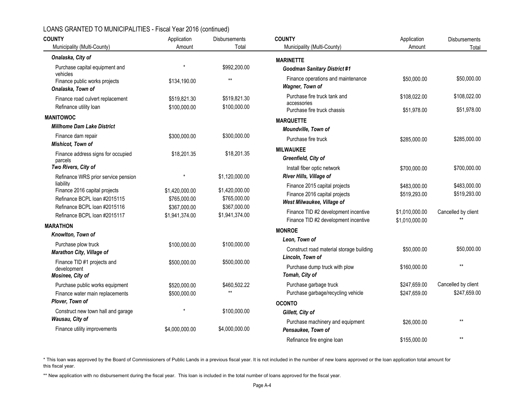| <b>COUNTY</b>                                                | Application    | <b>Disbursements</b> | <b>COUNTY</b>                                         | Application    | <b>Disbursements</b> |
|--------------------------------------------------------------|----------------|----------------------|-------------------------------------------------------|----------------|----------------------|
| Municipality (Multi-County)                                  | Amount         | Total                | Municipality (Multi-County)                           | Amount         | Total                |
| Onalaska, City of                                            |                |                      | <b>MARINETTE</b>                                      |                |                      |
| Purchase capital equipment and<br>vehicles                   |                | \$992,200.00         | <b>Goodman Sanitary District #1</b>                   |                |                      |
| Finance public works projects<br>Onalaska, Town of           | \$134,190.00   | $**$                 | Finance operations and maintenance<br>Wagner, Town of | \$50,000.00    | \$50,000.00          |
| Finance road culvert replacement                             | \$519,821.30   | \$519.821.30         | Purchase fire truck tank and<br>accessories           | \$108.022.00   | \$108,022.00         |
| Refinance utility loan                                       | \$100,000.00   | \$100,000.00         | Purchase fire truck chassis                           | \$51,978.00    | \$51,978.00          |
| <b>MANITOWOC</b>                                             |                |                      | <b>MARQUETTE</b>                                      |                |                      |
| <b>Millhome Dam Lake District</b>                            |                |                      | Moundville, Town of                                   |                |                      |
| Finance dam repair<br><b>Mishicot, Town of</b>               | \$300,000.00   | \$300,000.00         | Purchase fire truck                                   | \$285,000.00   | \$285,000.00         |
| Finance address signs for occupied<br>parcels                | \$18,201.35    | \$18,201.35          | <b>MILWAUKEE</b><br>Greenfield, City of               |                |                      |
| Two Rivers, City of                                          |                |                      | Install fiber optic network                           | \$700,000.00   | \$700,000.00         |
| Refinance WRS prior service pension                          |                | \$1,120,000.00       | River Hills, Village of                               |                |                      |
| liability                                                    |                |                      | Finance 2015 capital projects                         | \$483,000.00   | \$483,000.00         |
| Finance 2016 capital projects                                | \$1,420,000.00 | \$1,420,000.00       | Finance 2016 capital projects                         | \$519,293.00   | \$519,293.00         |
| Refinance BCPL loan #2015115<br>Refinance BCPL loan #2015116 | \$765,000.00   | \$765,000.00         | West Milwaukee, Village of                            |                |                      |
| Refinance BCPL loan #2015117                                 | \$367,000.00   | \$367,000.00         | Finance TID #2 development incentive                  | \$1,010,000.00 | Cancelled by client  |
|                                                              | \$1,941,374.00 | \$1,941,374.00       | Finance TID #2 development incentive                  | \$1,010,000.00 |                      |
| <b>MARATHON</b>                                              |                |                      | <b>MONROE</b>                                         |                |                      |
| Knowlton, Town of                                            |                |                      | Leon, Town of                                         |                |                      |
| Purchase plow truck<br><b>Marathon City, Village of</b>      | \$100,000.00   | \$100,000.00         | Construct road material storage building              | \$50,000.00    | \$50,000.00          |
| Finance TID #1 projects and                                  | \$500,000.00   | \$500,000.00         | Lincoln, Town of                                      |                |                      |
| development<br>Mosinee, City of                              |                |                      | Purchase dump truck with plow<br>Tomah, City of       | \$160,000.00   | $\star\star$         |
| Purchase public works equipment                              | \$520,000.00   | \$460,502.22         | Purchase garbage truck                                | \$247,659.00   | Cancelled by client  |
| Finance water main replacements                              | \$500,000.00   | $**$                 | Purchase garbage/recycling vehicle                    | \$247,659.00   | \$247,659.00         |
| Plover, Town of                                              |                |                      | <b>OCONTO</b>                                         |                |                      |
| Construct new town hall and garage                           |                | \$100,000.00         | Gillett, City of                                      |                |                      |
| Wausau, City of                                              |                |                      | Purchase machinery and equipment                      | \$26,000.00    | $**$                 |
| Finance utility improvements                                 | \$4,000,000.00 | \$4,000,000.00       | Pensaukee, Town of                                    |                |                      |
|                                                              |                |                      | Refinance fire engine loan                            | \$155,000.00   | $**$                 |

\* This loan was approved by the Board of Commissioners of Public Lands in a previous fiscal year. It is not included in the number of new loans approved or the loan application total amount for this fiscal year.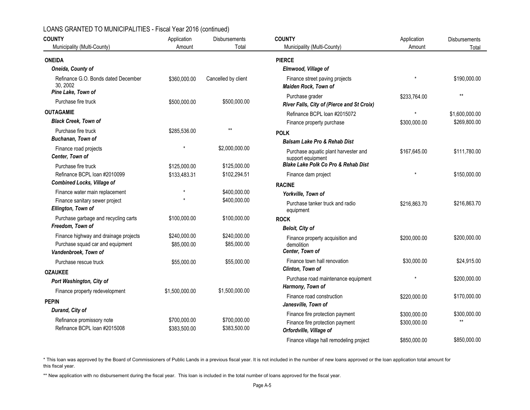| <b>COUNTY</b><br>Municipality (Multi-County)                                                      | Application<br>Amount       | <b>Disbursements</b><br>Total | <b>COUNTY</b><br>Municipality (Multi-County)                      | Application<br>Amount | Disbursements<br>Total |  |
|---------------------------------------------------------------------------------------------------|-----------------------------|-------------------------------|-------------------------------------------------------------------|-----------------------|------------------------|--|
|                                                                                                   |                             |                               |                                                                   |                       |                        |  |
| <b>ONEIDA</b>                                                                                     |                             |                               | <b>PIERCE</b>                                                     |                       |                        |  |
| Oneida, County of                                                                                 |                             |                               | Elmwood, Village of                                               |                       |                        |  |
| Refinance G.O. Bonds dated December<br>30.2002<br>Pine Lake, Town of                              | \$360,000.00                | Cancelled by client           | Finance street paving projects<br>Maiden Rock, Town of            |                       | \$190,000.00           |  |
| Purchase fire truck                                                                               | \$500,000.00                | \$500,000.00                  | Purchase grader<br>River Falls, City of (Pierce and St Croix)     | \$233,764.00          | $**$                   |  |
| <b>OUTAGAMIE</b>                                                                                  |                             |                               | Refinance BCPL loan #2015072                                      | $\star$               | \$1,600,000.00         |  |
| <b>Black Creek, Town of</b>                                                                       |                             |                               | Finance property purchase                                         | \$300,000.00          | \$269,800.00           |  |
| Purchase fire truck                                                                               | \$285,536.00                | $**$                          | <b>POLK</b>                                                       |                       |                        |  |
| Buchanan, Town of                                                                                 |                             |                               | <b>Balsam Lake Pro &amp; Rehab Dist</b>                           |                       |                        |  |
| Finance road projects<br>Center, Town of                                                          |                             | \$2,000,000.00                | Purchase aquatic plant harvester and<br>support equipment         | \$167,645.00          | \$111,780.00           |  |
| Purchase fire truck                                                                               | \$125,000.00                | \$125,000.00                  | <b>Blake Lake Polk Co Pro &amp; Rehab Dist</b>                    |                       |                        |  |
| Refinance BCPL loan #2010099                                                                      | \$133,483.31                | \$102,294.51                  | Finance dam project                                               |                       | \$150,000.00           |  |
| <b>Combined Locks, Village of</b>                                                                 |                             |                               | <b>RACINE</b>                                                     |                       |                        |  |
| Finance water main replacement                                                                    |                             | \$400,000.00                  | Yorkville, Town of                                                |                       |                        |  |
| Finance sanitary sewer project<br>Ellington, Town of                                              |                             | \$400,000.00                  | Purchase tanker truck and radio<br>equipment                      | \$216,863.70          | \$216,863.70           |  |
| Purchase garbage and recycling carts                                                              | \$100,000.00                | \$100,000.00                  | <b>ROCK</b>                                                       |                       |                        |  |
| Freedom, Town of                                                                                  |                             |                               | <b>Beloit, City of</b>                                            |                       |                        |  |
| Finance highway and drainage projects<br>Purchase squad car and equipment<br>Vandenbroek, Town of | \$240,000.00<br>\$85,000.00 | \$240,000.00<br>\$85,000.00   | Finance property acquisition and<br>demolition<br>Center, Town of | \$200,000.00          | \$200,000.00           |  |
| Purchase rescue truck                                                                             | \$55,000.00                 | \$55,000.00                   | Finance town hall renovation                                      | \$30,000.00           | \$24,915.00            |  |
| <b>OZAUKEE</b>                                                                                    |                             |                               | Clinton, Town of                                                  |                       |                        |  |
| Port Washington, City of                                                                          |                             |                               | Purchase road maintenance equipment                               |                       | \$200,000.00           |  |
| Finance property redevelopment                                                                    | \$1,500,000.00              | \$1,500,000.00                | Harmony, Town of                                                  |                       |                        |  |
| <b>PEPIN</b>                                                                                      |                             |                               | Finance road construction                                         | \$220,000.00          | \$170,000.00           |  |
| Durand, City of                                                                                   |                             |                               | Janesville, Town of                                               |                       |                        |  |
| Refinance promissory note                                                                         | \$700,000.00                | \$700,000.00                  | Finance fire protection payment                                   | \$300,000.00          | \$300,000.00<br>$**$   |  |
| Refinance BCPL loan #2015008                                                                      | \$383,500.00                | \$383,500.00                  | Finance fire protection payment<br>Orfordville, Village of        | \$300,000.00          |                        |  |
|                                                                                                   |                             |                               | Finance village hall remodeling project                           | \$850,000.00          | \$850,000.00           |  |

\* This loan was approved by the Board of Commissioners of Public Lands in a previous fiscal year. It is not included in the number of new loans approved or the loan application total amount for this fiscal year.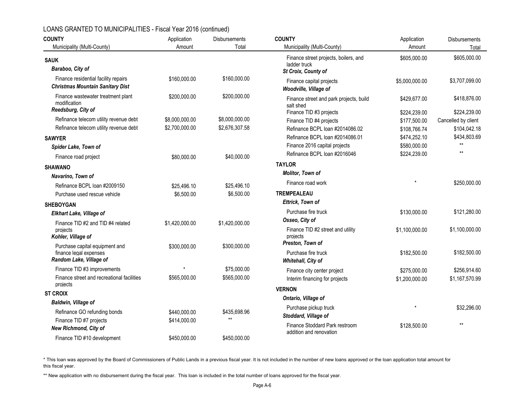| <b>COUNTY</b>                                                                   | Application    | <b>Disbursements</b> | <b>COUNTY</b>                                             | Application    | <b>Disbursements</b> |  |
|---------------------------------------------------------------------------------|----------------|----------------------|-----------------------------------------------------------|----------------|----------------------|--|
| Municipality (Multi-County)                                                     | Amount         | Total                | Municipality (Multi-County)                               | Amount         | Total                |  |
| <b>SAUK</b>                                                                     |                |                      | Finance street projects, boilers, and<br>ladder truck     | \$605,000.00   | \$605,000.00         |  |
| Baraboo, City of                                                                |                |                      | St Croix, County of                                       |                |                      |  |
| Finance residential facility repairs<br><b>Christmas Mountain Sanitary Dist</b> | \$160,000.00   | \$160,000.00         | Finance capital projects<br>Woodville, Village of         | \$5,000,000.00 | \$3,707,099.00       |  |
| Finance wastewater treatment plant<br>modification<br>Reedsburg, City of        | \$200,000.00   | \$200,000.00         | Finance street and park projects, build<br>salt shed      | \$429,677.00   | \$418,876.00         |  |
|                                                                                 |                |                      | Finance TID #3 projects                                   | \$224,239.00   | \$224,239.00         |  |
| Refinance telecom utility revenue debt                                          | \$8,000,000.00 | \$8,000,000.00       | Finance TID #4 projects                                   | \$177,500.00   | Cancelled by client  |  |
| Refinance telecom utility revenue debt                                          | \$2,700,000.00 | \$2,676,307.58       | Refinance BCPL loan #2014086.02                           | \$108,766.74   | \$104,042.18         |  |
| <b>SAWYER</b>                                                                   |                |                      | Refinance BCPL loan #2014086.01                           | \$474,252.10   | \$434,803.69         |  |
| Spider Lake, Town of                                                            |                |                      | Finance 2016 capital projects                             | \$580,000.00   | $\star\star$         |  |
| Finance road project                                                            | \$80,000.00    | \$40,000.00          | Refinance BCPL loan #2016046                              | \$224,239.00   | $**$                 |  |
| <b>SHAWANO</b>                                                                  |                |                      | <b>TAYLOR</b>                                             |                |                      |  |
| Navarino, Town of                                                               |                |                      | Molitor, Town of                                          |                |                      |  |
| Refinance BCPL loan #2009150                                                    | \$25,496.10    | \$25,496.10          | Finance road work                                         |                | \$250,000.00         |  |
| Purchase used rescue vehicle                                                    | \$6,500.00     | \$6,500.00           | <b>TREMPEALEAU</b>                                        |                |                      |  |
| <b>SHEBOYGAN</b>                                                                |                |                      | Ettrick, Town of                                          |                |                      |  |
| <b>Elkhart Lake, Village of</b>                                                 |                |                      | Purchase fire truck                                       | \$130,000.00   | \$121,280.00         |  |
| Finance TID #2 and TID #4 related                                               | \$1,420,000.00 | \$1,420,000.00       | Osseo, City of                                            |                |                      |  |
| projects<br>Kohler, Village of                                                  |                |                      | Finance TID #2 street and utility<br>projects             | \$1,100,000.00 | \$1,100,000.00       |  |
| Purchase capital equipment and                                                  | \$300,000.00   | \$300,000.00         | Preston. Town of                                          |                |                      |  |
| finance legal expenses<br>Random Lake, Village of                               |                |                      | Purchase fire truck<br>Whitehall, City of                 | \$182,500.00   | \$182,500.00         |  |
| Finance TID #3 improvements                                                     |                | \$75,000.00          | Finance city center project                               | \$275,000.00   | \$256,914.60         |  |
| Finance street and recreational facilities                                      | \$565,000.00   | \$565,000.00         | Interim financing for projects                            | \$1,200,000.00 | \$1,167,570.99       |  |
| projects                                                                        |                |                      | <b>VERNON</b>                                             |                |                      |  |
| <b>ST CROIX</b>                                                                 |                |                      | Ontario, Village of                                       |                |                      |  |
| <b>Baldwin, Village of</b>                                                      |                |                      |                                                           |                | \$32,296.00          |  |
| Refinance GO refunding bonds                                                    | \$440,000.00   | \$435,698.96         | Purchase pickup truck<br>Stoddard, Village of             |                |                      |  |
| Finance TID #7 projects                                                         | \$414,000.00   | $**$                 |                                                           |                | $\star\star$         |  |
| <b>New Richmond, City of</b>                                                    |                |                      | Finance Stoddard Park restroom<br>addition and renovation | \$128,500.00   |                      |  |
| Finance TID #10 development                                                     | \$450,000.00   | \$450,000.00         |                                                           |                |                      |  |

\* This loan was approved by the Board of Commissioners of Public Lands in a previous fiscal year. It is not included in the number of new loans approved or the loan application total amount for this fiscal year.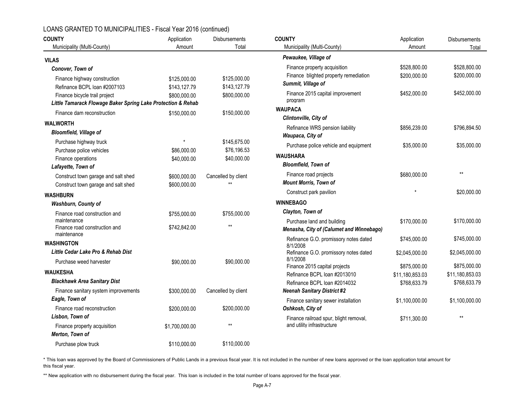| <b>COUNTY</b>                                                | Application    | Disbursements       | <b>COUNTY</b>                                       | Application     | Disbursements   |
|--------------------------------------------------------------|----------------|---------------------|-----------------------------------------------------|-----------------|-----------------|
| Municipality (Multi-County)                                  | Amount         | Total               | Municipality (Multi-County)                         | Amount          | Total           |
| <b>VILAS</b>                                                 |                |                     | Pewaukee, Village of                                |                 |                 |
| Conover, Town of                                             |                |                     | Finance property acquisition                        | \$528,800.00    | \$528,800.00    |
| Finance highway construction                                 | \$125,000.00   | \$125,000.00        | Finance blighted property remediation               | \$200,000.00    | \$200,000.00    |
| Refinance BCPL loan #2007103                                 | \$143,127.79   | \$143,127.79        | Summit, Village of                                  |                 |                 |
| Finance bicycle trail project                                | \$800,000.00   | \$800,000.00        | Finance 2015 capital improvement                    | \$452,000.00    | \$452,000.00    |
| Little Tamarack Flowage Baker Spring Lake Protection & Rehab |                |                     | program                                             |                 |                 |
| Finance dam reconstruction                                   | \$150,000.00   | \$150,000.00        | <b>WAUPACA</b><br>Clintonville, City of             |                 |                 |
| <b>WALWORTH</b>                                              |                |                     |                                                     |                 |                 |
| Bloomfield, Village of                                       |                |                     | Refinance WRS pension liability<br>Waupaca, City of | \$856,239.00    | \$796,894.50    |
| Purchase highway truck                                       |                | \$145,675.00        | Purchase police vehicle and equipment               | \$35,000.00     | \$35,000.00     |
| Purchase police vehicles                                     | \$86,000.00    | \$76,196.53         |                                                     |                 |                 |
| Finance operations                                           | \$40,000.00    | \$40,000.00         | <b>WAUSHARA</b>                                     |                 |                 |
| Lafayette, Town of                                           |                |                     | <b>Bloomfield, Town of</b>                          |                 |                 |
| Construct town garage and salt shed                          | \$600,000.00   | Cancelled by client | Finance road projects                               | \$680,000.00    | $**$            |
| Construct town garage and salt shed                          | \$600,000.00   | $\star\star$        | <b>Mount Morris, Town of</b>                        |                 |                 |
| <b>WASHBURN</b>                                              |                |                     | Construct park pavilion                             |                 | \$20,000.00     |
| Washburn, County of                                          |                |                     | <b>WINNEBAGO</b>                                    |                 |                 |
| Finance road construction and                                | \$755,000.00   | \$755,000.00        | Clayton, Town of                                    |                 |                 |
| maintenance                                                  |                |                     | Purchase land and building                          | \$170,000.00    | \$170,000.00    |
| Finance road construction and<br>maintenance                 | \$742,842.00   | $***$               | Menasha, City of (Calumet and Winnebago)            |                 |                 |
| <b>WASHINGTON</b>                                            |                |                     | Refinance G.O. promissory notes dated               | \$745,000.00    | \$745,000.00    |
| Little Cedar Lake Pro & Rehab Dist                           |                |                     | 8/1/2008                                            |                 | \$2,045,000.00  |
|                                                              |                |                     | Refinance G.O. promissory notes dated<br>8/1/2008   | \$2,045,000.00  |                 |
| Purchase weed harvester                                      | \$90,000.00    | \$90,000.00         | Finance 2015 capital projects                       | \$875,000.00    | \$875,000.00    |
| <b>WAUKESHA</b>                                              |                |                     | Refinance BCPL loan #2013010                        | \$11,180,853.03 | \$11,180,853.03 |
| <b>Blackhawk Area Sanitary Dist</b>                          |                |                     | Refinance BCPL loan #2014032                        | \$768,633.79    | \$768,633.79    |
| Finance sanitary system improvements                         | \$300,000.00   | Cancelled by client | <b>Neenah Sanitary District #2</b>                  |                 |                 |
| Eagle, Town of                                               |                |                     | Finance sanitary sewer installation                 | \$1,100,000.00  | \$1,100,000.00  |
| Finance road reconstruction                                  | \$200,000.00   | \$200,000.00        | Oshkosh, City of                                    |                 |                 |
| Lisbon, Town of                                              |                |                     | Finance railroad spur, blight removal,              | \$711,300.00    | $**$            |
| Finance property acquisition                                 | \$1,700,000.00 | $**$                | and utility infrastructure                          |                 |                 |
| Merton, Town of                                              |                |                     |                                                     |                 |                 |
| Purchase plow truck                                          | \$110,000.00   | \$110,000.00        |                                                     |                 |                 |

\* This loan was approved by the Board of Commissioners of Public Lands in a previous fiscal year. It is not included in the number of new loans approved or the loan application total amount for this fiscal year.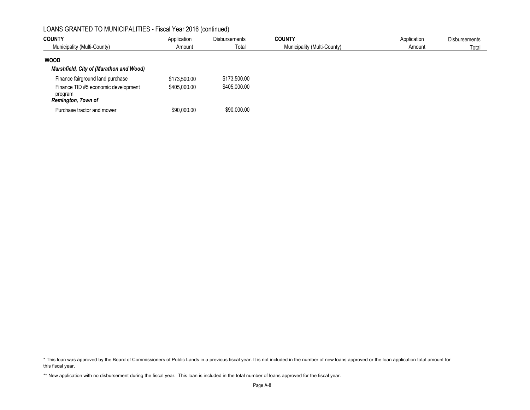| <b>COUNTY</b><br>Municipality (Multi-County)                                                             | Application<br>Amount        | <b>Disbursements</b><br>Total | <b>COUNTY</b><br>Municipality (Multi-County) | Application<br>Amount | <b>Disbursements</b><br>Total |
|----------------------------------------------------------------------------------------------------------|------------------------------|-------------------------------|----------------------------------------------|-----------------------|-------------------------------|
| <b>WOOD</b><br>Marshfield, City of (Marathon and Wood)                                                   |                              |                               |                                              |                       |                               |
| Finance fairground land purchase<br>Finance TID #5 economic development<br>program<br>Remington, Town of | \$173,500.00<br>\$405,000.00 | \$173,500.00<br>\$405,000.00  |                                              |                       |                               |
| Purchase tractor and mower                                                                               | \$90,000.00                  | \$90,000.00                   |                                              |                       |                               |

\* This loan was approved by the Board of Commissioners of Public Lands in a previous fiscal year. It is not included in the number of new loans approved or the loan application total amount for this fiscal year.

<sup>\*\*</sup> New application with no disbursement during the fiscal year. This loan is included in the total number of loans approved for the fiscal year.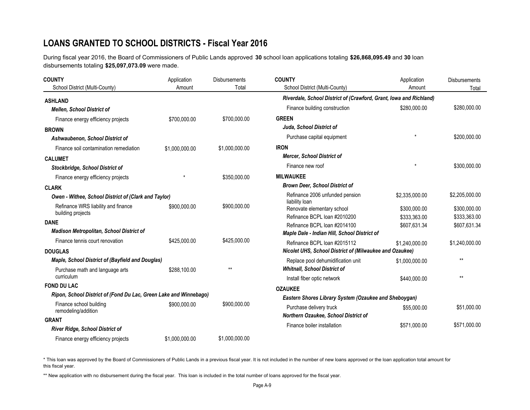# **LOANS GRANTED TO SCHOOL DISTRICTS - Fiscal Year 2016**

During fiscal year 2016, the Board of Commissioners of Public Lands approved **30** school loan applications totaling **\$26,868,095.49** and **30** loan disbursements totaling **\$25,097,073.09** were made.

| <b>COUNTY</b>                                                     | Application    | <b>Disbursements</b> | <b>COUNTY</b>                                                      | Application    | <b>Disbursements</b>         |  |
|-------------------------------------------------------------------|----------------|----------------------|--------------------------------------------------------------------|----------------|------------------------------|--|
| School District (Multi-County)                                    | Amount         | Total                | School District (Multi-County)                                     | Amount         | Total                        |  |
| <b>ASHLAND</b>                                                    |                |                      | Riverdale, School District of (Crawford, Grant, Iowa and Richland) |                |                              |  |
| <b>Mellen, School District of</b>                                 |                |                      | Finance building construction                                      | \$280,000.00   | \$280,000.00                 |  |
| Finance energy efficiency projects                                | \$700,000.00   | \$700,000.00         | <b>GREEN</b>                                                       |                |                              |  |
| <b>BROWN</b>                                                      |                |                      | Juda, School District of                                           |                |                              |  |
| Ashwaubenon, School District of                                   |                |                      | Purchase capital equipment                                         |                | \$200,000.00                 |  |
| Finance soil contamination remediation                            | \$1,000,000.00 | \$1,000,000.00       | <b>IRON</b>                                                        |                |                              |  |
| <b>CALUMET</b>                                                    |                |                      | <b>Mercer, School District of</b>                                  |                |                              |  |
| Stockbridge, School District of                                   |                |                      | Finance new roof                                                   |                | \$300,000.00                 |  |
| Finance energy efficiency projects                                |                | \$350,000.00         | <b>MILWAUKEE</b>                                                   |                |                              |  |
| <b>CLARK</b>                                                      |                |                      | <b>Brown Deer, School District of</b>                              |                |                              |  |
| Owen - Withee, School District of (Clark and Taylor)              |                |                      | Refinance 2006 unfunded pension                                    | \$2,335,000.00 | \$2,205,000.00               |  |
| Refinance WRS liability and finance<br>building projects          | \$900,000.00   | \$900,000.00         | liability loan<br>Renovate elementary school                       | \$300,000.00   | \$300,000.00                 |  |
| <b>DANE</b>                                                       |                |                      | Refinance BCPL loan #2010200<br>Refinance BCPL loan #2014100       | \$333.363.00   | \$333,363.00<br>\$607,631.34 |  |
| <b>Madison Metropolitan, School District of</b>                   |                |                      | Maple Dale - Indian Hill, School District of                       | \$607,631.34   |                              |  |
| Finance tennis court renovation                                   | \$425,000.00   | \$425,000.00         | Refinance BCPL Ioan #2015112                                       | \$1,240,000.00 | \$1,240,000.00               |  |
| <b>DOUGLAS</b>                                                    |                |                      | Nicolet UHS, School District of (Milwaukee and Ozaukee)            |                |                              |  |
| Maple, School District of (Bayfield and Douglas)                  |                |                      | Replace pool dehumidification unit                                 | \$1,000,000.00 | $**$                         |  |
| Purchase math and language arts                                   | \$288,100.00   | $**$                 | <b>Whitnall, School District of</b>                                |                |                              |  |
| curriculum                                                        |                |                      | Install fiber optic network                                        | \$440,000.00   | $**$                         |  |
| <b>FOND DU LAC</b>                                                |                |                      | <b>OZAUKEE</b>                                                     |                |                              |  |
| Ripon, School District of (Fond Du Lac, Green Lake and Winnebago) |                |                      | Eastern Shores Library System (Ozaukee and Sheboygan)              |                |                              |  |
| Finance school building<br>remodeling/addition                    | \$900,000.00   | \$900,000.00         | Purchase delivery truck<br>Northern Ozaukee, School District of    | \$55,000.00    | \$51,000.00                  |  |
| <b>GRANT</b>                                                      |                |                      |                                                                    |                |                              |  |
| <b>River Ridge, School District of</b>                            |                |                      | Finance boiler installation                                        | \$571,000.00   | \$571,000.00                 |  |
| Finance energy efficiency projects                                | \$1.000.000.00 | \$1.000.000.00       |                                                                    |                |                              |  |

\* This loan was approved by the Board of Commissioners of Public Lands in a previous fiscal year. It is not included in the number of new loans approved or the loan application total amount for this fiscal year.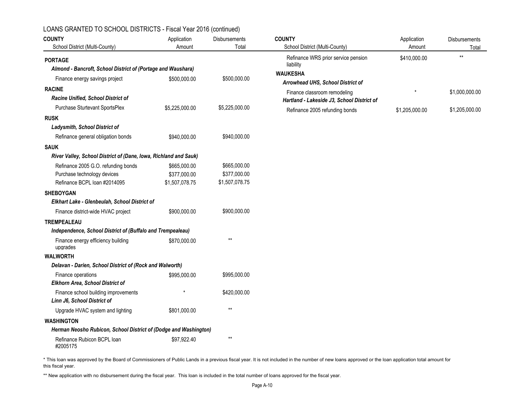| <b>COUNTY</b>                                                    | Application    | Disbursements   | <b>COUNTY</b>                                    | Application    | Disbursements  |
|------------------------------------------------------------------|----------------|-----------------|--------------------------------------------------|----------------|----------------|
| School District (Multi-County)                                   | Amount         | Total           | School District (Multi-County)                   | Amount         | Total          |
| <b>PORTAGE</b>                                                   |                |                 | Refinance WRS prior service pension<br>liability | \$410,000.00   | $**$           |
| Almond - Bancroft, School District of (Portage and Waushara)     |                |                 | <b>WAUKESHA</b>                                  |                |                |
| Finance energy savings project                                   | \$500,000.00   | \$500,000.00    | Arrowhead UHS, School District of                |                |                |
| <b>RACINE</b>                                                    |                |                 | Finance classroom remodeling                     |                | \$1,000,000.00 |
| Racine Unified, School District of                               |                |                 | Hartland - Lakeside J3, School District of       |                |                |
| Purchase Sturtevant SportsPlex                                   | \$5,225,000.00 | \$5,225,000.00  | Refinance 2005 refunding bonds                   | \$1,205,000.00 | \$1,205,000.00 |
| <b>RUSK</b>                                                      |                |                 |                                                  |                |                |
| <b>Ladysmith, School District of</b>                             |                |                 |                                                  |                |                |
| Refinance general obligation bonds                               | \$940,000.00   | \$940,000.00    |                                                  |                |                |
| <b>SAUK</b>                                                      |                |                 |                                                  |                |                |
| River Valley, School District of (Dane, Iowa, Richland and Sauk) |                |                 |                                                  |                |                |
| Refinance 2005 G.O. refunding bonds                              | \$665,000.00   | \$665,000.00    |                                                  |                |                |
| Purchase technology devices                                      | \$377,000.00   | \$377,000.00    |                                                  |                |                |
| Refinance BCPL loan #2014095                                     | \$1,507,078.75 | \$1,507,078.75  |                                                  |                |                |
| <b>SHEBOYGAN</b>                                                 |                |                 |                                                  |                |                |
| Elkhart Lake - Glenbeulah, School District of                    |                |                 |                                                  |                |                |
| Finance district-wide HVAC project                               | \$900,000.00   | \$900,000.00    |                                                  |                |                |
| <b>TREMPEALEAU</b>                                               |                |                 |                                                  |                |                |
| Independence, School District of (Buffalo and Trempealeau)       |                |                 |                                                  |                |                |
| Finance energy efficiency building<br>upgrades                   | \$870,000.00   | $^{\star\star}$ |                                                  |                |                |
| <b>WALWORTH</b>                                                  |                |                 |                                                  |                |                |
| Delavan - Darien, School District of (Rock and Walworth)         |                |                 |                                                  |                |                |
| Finance operations<br>Elkhorn Area, School District of           | \$995,000.00   | \$995,000.00    |                                                  |                |                |
| Finance school building improvements                             |                | \$420,000.00    |                                                  |                |                |
| Linn J6, School District of                                      |                |                 |                                                  |                |                |
| Upgrade HVAC system and lighting                                 | \$801,000.00   | $\star\star$    |                                                  |                |                |
| <b>WASHINGTON</b>                                                |                |                 |                                                  |                |                |
| Herman Neosho Rubicon, School District of (Dodge and Washington) |                |                 |                                                  |                |                |
| Refinance Rubicon BCPL loan<br>#2005175                          | \$97,922.40    | $\star\star$    |                                                  |                |                |

#### LOANS GRANTED TO SCHOOL DISTRICTS - Fiscal Year 2016 (continued)

\* This loan was approved by the Board of Commissioners of Public Lands in a previous fiscal year. It is not included in the number of new loans approved or the loan application total amount for this fiscal year.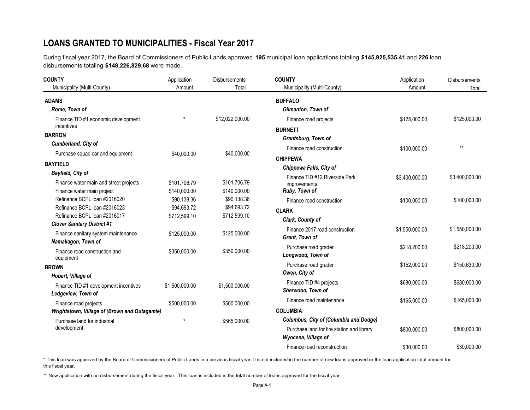# **LOANS GRANTED TO MUNICIPALITIES - Fiscal Year 2017**

During fiscal year 2017, the Board of Commissioners of Public Lands approved **195** municipal loan applications totaling **\$145,925,535.41** and **226** loan disbursements totaling **\$148,226,829.68** were made.

| <b>COUNTY</b>                                 | Application    | <b>Disbursements</b> | <b>COUNTY</b>                                    | Application    | Disbursements  |
|-----------------------------------------------|----------------|----------------------|--------------------------------------------------|----------------|----------------|
| Municipality (Multi-County)                   | Amount         | Total                | Municipality (Multi-County)                      | Amount         | Total          |
| <b>ADAMS</b>                                  |                |                      | <b>BUFFALO</b>                                   |                |                |
| Rome, Town of                                 |                |                      | Gilmanton, Town of                               |                |                |
| Finance TID #1 economic development           |                | \$12,022,000.00      | Finance road projects                            | \$125,000.00   | \$125,000.00   |
| incentives                                    |                |                      | <b>BURNETT</b>                                   |                |                |
| <b>BARRON</b>                                 |                |                      | Grantsburg, Town of                              |                |                |
| Cumberland, City of                           |                |                      | Finance road construction                        | \$100,000.00   | $**$           |
| Purchase squad car and equipment              | \$40,000.00    | \$40,000.00          | <b>CHIPPEWA</b>                                  |                |                |
| <b>BAYFIELD</b>                               |                |                      |                                                  |                |                |
| <b>Bayfield, City of</b>                      |                |                      | Chippewa Falls, City of                          |                |                |
| Finance water main and street projects        | \$101,706.79   | \$101,706.79         | Finance TID #12 Riverside Park<br>improvements   | \$3,400,000.00 | \$3,400,000.00 |
| Finance water main project                    | \$140,000.00   | \$140,000.00         | Ruby, Town of                                    |                |                |
| Refinance BCPL loan #2016020                  | \$90,138.36    | \$90,138.36          | Finance road construction                        | \$100,000.00   | \$100,000.00   |
| Refinance BCPL loan #2016023                  | \$94,693.72    | \$94,693.72          | <b>CLARK</b>                                     |                |                |
| Refinance BCPL loan #2016017                  | \$712,599.10   | \$712,599.10         | Clark, County of                                 |                |                |
| <b>Clover Sanitary District #1</b>            |                |                      |                                                  |                |                |
| Finance sanitary system maintenance           | \$125,000.00   | \$125,000.00         | Finance 2017 road construction<br>Grant, Town of | \$1,550,000.00 | \$1,550,000.00 |
| Namakagon, Town of                            |                |                      |                                                  |                |                |
| Finance road construction and                 | \$350,000.00   | \$350,000.00         | Purchase road grader                             | \$218,200.00   | \$218,200.00   |
| equipment                                     |                |                      | Longwood, Town of                                |                |                |
| <b>BROWN</b>                                  |                |                      | Purchase road grader                             | \$152,000.00   | \$150,630.00   |
| Hobart, Village of                            |                |                      | Owen, City of                                    |                |                |
| Finance TID #1 development incentives         | \$1,500,000.00 | \$1,500,000.00       | Finance TID #4 projects                          | \$680,000.00   | \$680,000.00   |
| Ledgeview, Town of                            |                |                      | Sherwood, Town of                                |                |                |
| Finance road projects                         | \$500,000.00   | \$500,000.00         | Finance road maintenance                         | \$165,000.00   | \$165,000.00   |
| Wrightstown, Village of (Brown and Outagamie) |                |                      | <b>COLUMBIA</b>                                  |                |                |
| Purchase land for industrial                  | $\star$        | \$565,000.00         | <b>Columbus, City of (Columbia and Dodge)</b>    |                |                |
| development                                   |                |                      | Purchase land for fire station and library       | \$800,000.00   | \$800,000.00   |
|                                               |                |                      | Wyocena, Village of                              |                |                |
|                                               |                |                      | Finance road reconstruction                      | \$30,000.00    | \$30,000.00    |

\* This loan was approved by the Board of Commissioners of Public Lands in a previous fiscal year. It is not included in the number of new loans approved or the loan application total amount for this fiscal year.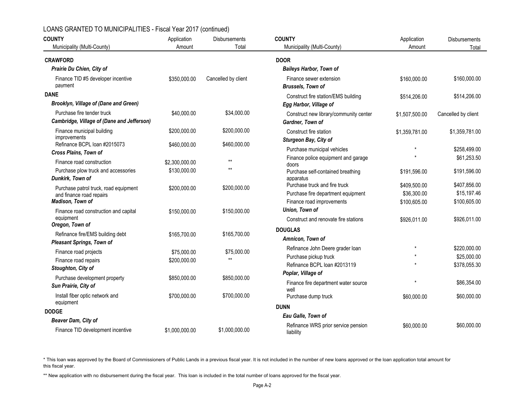| <b>COUNTY</b>                                                            | Application    | <b>Disbursements</b> | <b>COUNTY</b>                                              | Application    | <b>Disbursements</b> |  |
|--------------------------------------------------------------------------|----------------|----------------------|------------------------------------------------------------|----------------|----------------------|--|
| Municipality (Multi-County)                                              | Amount         | Total                | Municipality (Multi-County)                                | Amount         | Total                |  |
| <b>CRAWFORD</b>                                                          |                |                      | <b>DOOR</b>                                                |                |                      |  |
| Prairie Du Chien, City of                                                |                |                      | <b>Baileys Harbor, Town of</b>                             |                |                      |  |
| Finance TID #5 developer incentive<br>payment                            | \$350,000.00   | Cancelled by client  | Finance sewer extension<br><b>Brussels, Town of</b>        | \$160,000.00   | \$160,000.00         |  |
| <b>DANE</b>                                                              |                |                      | Construct fire station/EMS building                        | \$514,206.00   | \$514,206.00         |  |
| Brooklyn, Village of (Dane and Green)                                    |                |                      | Egg Harbor, Village of                                     |                |                      |  |
| Purchase fire tender truck<br>Cambridge, Village of (Dane and Jefferson) | \$40,000.00    | \$34,000.00          | Construct new library/community center<br>Gardner, Town of | \$1,507,500.00 | Cancelled by client  |  |
| Finance municipal building                                               | \$200,000.00   | \$200,000.00         | Construct fire station                                     | \$1,359,781.00 | \$1,359,781.00       |  |
| <i>improvements</i><br>Refinance BCPL loan #2015073                      | \$460,000.00   | \$460,000.00         | Sturgeon Bay, City of                                      |                |                      |  |
| Cross Plains, Town of                                                    |                |                      | Purchase municipal vehicles                                | $\star$        | \$258,499.00         |  |
| Finance road construction                                                | \$2,300,000.00 | $***$                | Finance police equipment and garage                        |                | \$61,253.50          |  |
| Purchase plow truck and accessories<br>Dunkirk, Town of                  | \$130,000.00   | $**$                 | doors<br>Purchase self-contained breathing<br>apparatus    | \$191,596.00   | \$191,596.00         |  |
|                                                                          |                | \$200,000.00         | Purchase truck and fire truck                              | \$409,500.00   | \$407,856.00         |  |
| Purchase patrol truck, road equipment<br>and finance road repairs        | \$200,000.00   |                      | Purchase fire department equipment                         | \$36,300.00    | \$15,197.46          |  |
| Madison, Town of                                                         |                |                      | Finance road improvements                                  | \$100,605.00   | \$100,605.00         |  |
| Finance road construction and capital                                    | \$150,000.00   | \$150,000.00         | Union, Town of                                             |                |                      |  |
| equipment                                                                |                |                      | Construct and renovate fire stations                       | \$926,011.00   | \$926,011.00         |  |
| Oregon, Town of                                                          |                |                      | <b>DOUGLAS</b>                                             |                |                      |  |
| Refinance fire/EMS building debt                                         | \$165,700.00   | \$165,700.00         | Amnicon, Town of                                           |                |                      |  |
| <b>Pleasant Springs, Town of</b>                                         |                |                      | Refinance John Deere grader loan                           |                | \$220,000.00         |  |
| Finance road projects                                                    | \$75,000.00    | \$75,000.00<br>$**$  | Purchase pickup truck                                      |                | \$25,000.00          |  |
| Finance road repairs                                                     | \$200,000.00   |                      | Refinance BCPL Ioan #2013119                               |                | \$378,055.30         |  |
| Stoughton, City of                                                       |                |                      | Poplar, Village of                                         |                |                      |  |
| Purchase development property<br>Sun Prairie, City of                    | \$850,000.00   | \$850,000.00         | Finance fire department water source<br>well               |                | \$86,354.00          |  |
| Install fiber optic network and<br>equipment                             | \$700,000.00   | \$700,000.00         | Purchase dump truck                                        | \$60,000.00    | \$60,000.00          |  |
| <b>DODGE</b>                                                             |                |                      | <b>DUNN</b>                                                |                |                      |  |
| Beaver Dam, City of                                                      |                |                      | Eau Galle, Town of                                         |                |                      |  |
| Finance TID development incentive                                        | \$1,000,000.00 | \$1,000,000.00       | Refinance WRS prior service pension<br>liability           | \$60,000.00    | \$60,000.00          |  |

\* This loan was approved by the Board of Commissioners of Public Lands in a previous fiscal year. It is not included in the number of new loans approved or the loan application total amount for this fiscal year.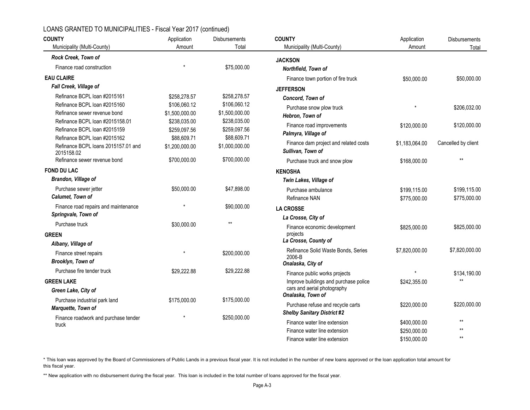| <b>COUNTY</b>                                       | Application    | <b>Disbursements</b> | <b>COUNTY</b>                                              | Application    | Disbursements       |
|-----------------------------------------------------|----------------|----------------------|------------------------------------------------------------|----------------|---------------------|
| Municipality (Multi-County)                         | Amount         | Total                | Municipality (Multi-County)                                | Amount         | Total               |
| Rock Creek, Town of                                 |                |                      | <b>JACKSON</b>                                             |                |                     |
| Finance road construction                           |                | \$75,000.00          | Northfield, Town of                                        |                |                     |
| <b>EAU CLAIRE</b>                                   |                |                      | Finance town portion of fire truck                         | \$50,000.00    | \$50,000.00         |
| Fall Creek, Village of                              |                |                      | <b>JEFFERSON</b>                                           |                |                     |
| Refinance BCPL loan #2015161                        | \$258,278.57   | \$258,278.57         | Concord, Town of                                           |                |                     |
| Refinance BCPL loan #2015160                        | \$106,060.12   | \$106,060.12         | Purchase snow plow truck                                   |                | \$206,032.00        |
| Refinance sewer revenue bond                        | \$1,500,000.00 | \$1,500,000.00       | Hebron, Town of                                            |                |                     |
| Refinance BCPL loan #2015158.01                     | \$238,035.00   | \$238,035.00         |                                                            |                |                     |
| Refinance BCPL loan #2015159                        | \$259,097.56   | \$259,097.56         | Finance road improvements                                  | \$120,000.00   | \$120,000.00        |
| Refinance BCPL loan #2015162                        | \$88,609.71    | \$88,609.71          | Palmyra, Village of                                        |                |                     |
| Refinance BCPL loans 2015157.01 and<br>2015158.02   | \$1,200,000.00 | \$1,000,000.00       | Finance dam project and related costs<br>Sullivan, Town of | \$1,183,064.00 | Cancelled by client |
| Refinance sewer revenue bond                        | \$700,000.00   | \$700,000.00         | Purchase truck and snow plow                               | \$168,000.00   | $**$                |
| <b>FOND DU LAC</b>                                  |                |                      | <b>KENOSHA</b>                                             |                |                     |
| Brandon, Village of                                 |                |                      | Twin Lakes, Village of                                     |                |                     |
| Purchase sewer jetter                               | \$50,000.00    | \$47,898.00          | Purchase ambulance                                         | \$199,115.00   | \$199,115.00        |
| Calumet, Town of                                    |                |                      | Refinance NAN                                              | \$775,000.00   | \$775,000.00        |
| Finance road repairs and maintenance                |                | \$90,000.00          | <b>LA CROSSE</b>                                           |                |                     |
| Springvale, Town of                                 |                |                      | La Crosse, City of                                         |                |                     |
| Purchase truck                                      | \$30,000.00    | $**$                 | Finance economic development                               | \$825,000.00   | \$825,000.00        |
| <b>GREEN</b>                                        |                |                      | projects                                                   |                |                     |
| Albany, Village of                                  |                |                      | La Crosse, County of                                       |                |                     |
| Finance street repairs                              |                | \$200,000.00         | Refinance Solid Waste Bonds, Series                        | \$7.820.000.00 | \$7,820,000.00      |
| Brooklyn, Town of                                   |                |                      | 2006-B<br>Onalaska, City of                                |                |                     |
| Purchase fire tender truck                          | \$29.222.88    | \$29,222.88          | Finance public works projects                              | $\star$        | \$134,190.00        |
| <b>GREEN LAKE</b>                                   |                |                      | Improve buildings and purchase police                      | \$242,355.00   | $**$                |
| Green Lake, City of                                 |                |                      | cars and aerial photography                                |                |                     |
|                                                     |                |                      | Onalaska, Town of                                          |                |                     |
| Purchase industrial park land<br>Marquette, Town of | \$175,000.00   | \$175,000.00         | Purchase refuse and recycle carts                          | \$220,000.00   | \$220,000.00        |
|                                                     |                |                      | <b>Shelby Sanitary District #2</b>                         |                |                     |
| Finance roadwork and purchase tender<br>truck       |                | \$250,000.00         | Finance water line extension                               | \$400,000.00   | $\star\star$        |
|                                                     |                |                      | Finance water line extension                               | \$250,000.00   | $**$                |
|                                                     |                |                      | Finance water line extension                               | \$150,000.00   | $**$                |

\* This loan was approved by the Board of Commissioners of Public Lands in a previous fiscal year. It is not included in the number of new loans approved or the loan application total amount for this fiscal year.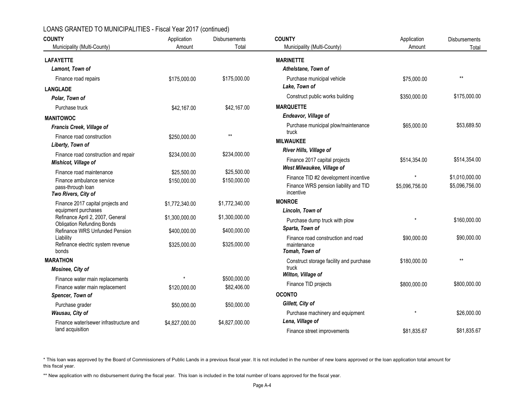| <b>COUNTY</b>                                                         | Application    | <b>Disbursements</b> | <b>COUNTY</b>                                     | Application    | <b>Disbursements</b> |  |
|-----------------------------------------------------------------------|----------------|----------------------|---------------------------------------------------|----------------|----------------------|--|
| Municipality (Multi-County)                                           | Amount         | Total                | Municipality (Multi-County)                       | Amount         | Total                |  |
| <b>LAFAYETTE</b>                                                      |                |                      | <b>MARINETTE</b>                                  |                |                      |  |
| Lamont, Town of                                                       |                |                      | Athelstane, Town of                               |                |                      |  |
| Finance road repairs                                                  | \$175,000.00   | \$175,000.00         | Purchase municipal vehicle                        | \$75,000.00    | $\star\star$         |  |
| <b>LANGLADE</b>                                                       |                |                      | Lake, Town of                                     |                |                      |  |
| Polar, Town of                                                        |                |                      | Construct public works building                   | \$350,000.00   | \$175,000.00         |  |
| Purchase truck                                                        | \$42,167.00    | \$42,167.00          | <b>MARQUETTE</b>                                  |                |                      |  |
| <b>MANITOWOC</b>                                                      |                |                      | Endeavor, Village of                              |                |                      |  |
| Francis Creek, Village of                                             |                |                      | Purchase municipal plow/maintenance               | \$65,000.00    | \$53,689.50          |  |
| Finance road construction                                             | \$250,000.00   | $**$                 | truck<br><b>MILWAUKEE</b>                         |                |                      |  |
| Liberty, Town of                                                      |                |                      | River Hills, Village of                           |                |                      |  |
| Finance road construction and repair                                  | \$234,000.00   | \$234,000.00         | Finance 2017 capital projects                     | \$514,354.00   | \$514,354.00         |  |
| Mishicot, Village of                                                  |                |                      | West Milwaukee, Village of                        |                |                      |  |
| Finance road maintenance                                              | \$25,500.00    | \$25,500.00          | Finance TID #2 development incentive              | $\star$        | \$1,010,000.00       |  |
| Finance ambulance service<br>pass-through loan                        | \$150,000.00   | \$150,000.00         | Finance WRS pension liability and TID             | \$5,096,756.00 | \$5,096,756.00       |  |
| Two Rivers, City of                                                   |                |                      | incentive                                         |                |                      |  |
| Finance 2017 capital projects and                                     | \$1,772,340.00 | \$1,772,340.00       | <b>MONROE</b>                                     |                |                      |  |
| equipment purchases                                                   |                |                      | Lincoln, Town of                                  |                |                      |  |
| Refinance April 2, 2007, General<br><b>Obligation Refunding Bonds</b> | \$1,300,000.00 | \$1,300,000.00       | Purchase dump truck with plow                     |                | \$160,000.00         |  |
| Refinance WRS Unfunded Pension                                        | \$400,000.00   | \$400,000.00         | Sparta, Town of                                   |                |                      |  |
| Liability<br>Refinance electric system revenue                        | \$325,000.00   | \$325,000.00         | Finance road construction and road<br>maintenance | \$90,000.00    | \$90,000.00          |  |
| bonds                                                                 |                |                      | Tomah, Town of                                    |                |                      |  |
| <b>MARATHON</b>                                                       |                |                      | Construct storage facility and purchase           | \$180,000.00   | $**$                 |  |
| Mosinee, City of                                                      |                |                      | truck                                             |                |                      |  |
| Finance water main replacements                                       |                | \$500,000.00         | Wilton, Village of                                |                |                      |  |
| Finance water main replacement                                        | \$120,000.00   | \$82,406.00          | Finance TID projects                              | \$800,000.00   | \$800,000.00         |  |
| Spencer, Town of                                                      |                |                      | <b>OCONTO</b>                                     |                |                      |  |
| Purchase grader                                                       | \$50,000.00    | \$50,000.00          | Gillett, City of                                  |                |                      |  |
| Wausau, City of                                                       |                |                      | Purchase machinery and equipment                  |                | \$26,000.00          |  |
| Finance water/sewer infrastructure and                                | \$4,827,000.00 | \$4,827,000.00       | Lena, Village of                                  |                |                      |  |
| land acquisition                                                      |                |                      | Finance street improvements                       | \$81,835.67    | \$81,835.67          |  |

\* This loan was approved by the Board of Commissioners of Public Lands in a previous fiscal year. It is not included in the number of new loans approved or the loan application total amount for this fiscal year.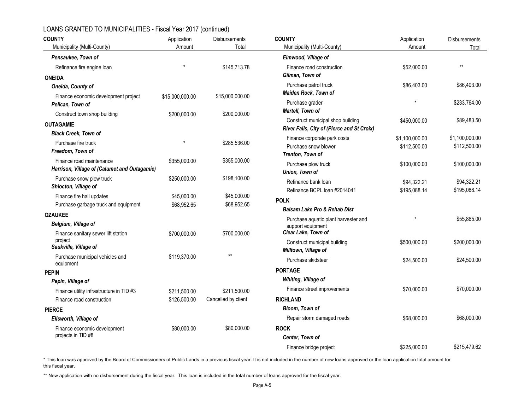| <b>COUNTY</b>                                  | Application     | Disbursements       | <b>COUNTY</b>                                                                   | Application                    | Disbursements                  |
|------------------------------------------------|-----------------|---------------------|---------------------------------------------------------------------------------|--------------------------------|--------------------------------|
| Municipality (Multi-County)                    | Amount          | Total               | Municipality (Multi-County)                                                     | Amount                         | Total                          |
| Pensaukee, Town of                             |                 |                     | Elmwood, Village of                                                             |                                |                                |
| Refinance fire engine loan                     |                 | \$145,713.78        | Finance road construction                                                       | \$52,000.00                    | $\star\star$                   |
| <b>ONEIDA</b>                                  |                 |                     | Gilman, Town of                                                                 |                                |                                |
| Oneida, County of                              |                 |                     | Purchase patrol truck                                                           | \$86,403.00                    | \$86,403.00                    |
| Finance economic development project           | \$15,000,000.00 | \$15,000,000.00     | <b>Maiden Rock, Town of</b>                                                     |                                |                                |
| Pelican, Town of                               |                 |                     | Purchase grader                                                                 | $\star$                        | \$233,764.00                   |
| Construct town shop building                   | \$200,000.00    | \$200,000.00        | Martell, Town of                                                                |                                |                                |
| <b>OUTAGAMIE</b>                               |                 |                     | Construct municipal shop building<br>River Falls, City of (Pierce and St Croix) | \$450,000.00                   | \$89,483.50                    |
| <b>Black Creek, Town of</b>                    |                 |                     |                                                                                 |                                |                                |
| Purchase fire truck                            | $\star$         | \$285,536.00        | Finance corporate park costs<br>Purchase snow blower                            | \$1,100,000.00<br>\$112,500.00 | \$1,100,000.00<br>\$112,500.00 |
| Freedom, Town of                               |                 |                     | Trenton, Town of                                                                |                                |                                |
| Finance road maintenance                       | \$355,000.00    | \$355,000.00        | Purchase plow truck                                                             | \$100,000.00                   | \$100,000.00                   |
| Harrison, Village of (Calumet and Outagamie)   |                 |                     | Union, Town of                                                                  |                                |                                |
| Purchase snow plow truck                       | \$250,000.00    | \$198,100.00        | Refinance bank loan                                                             | \$94,322.21                    | \$94,322.21                    |
| Shiocton, Village of                           |                 |                     | Refinance BCPL loan #2014041                                                    | \$195,088.14                   | \$195,088.14                   |
| Finance fire hall updates                      | \$45,000.00     | \$45,000.00         | <b>POLK</b>                                                                     |                                |                                |
| Purchase garbage truck and equipment           | \$68,952.65     | \$68,952.65         | <b>Balsam Lake Pro &amp; Rehab Dist</b>                                         |                                |                                |
| <b>OZAUKEE</b>                                 |                 |                     | Purchase aquatic plant harvester and                                            |                                | \$55,865.00                    |
| Belgium, Village of                            |                 |                     | support equipment                                                               |                                |                                |
| Finance sanitary sewer lift station<br>project | \$700,000.00    | \$700,000.00        | Clear Lake, Town of                                                             |                                |                                |
| Saukville, Village of                          |                 |                     | Construct municipal building<br>Milltown, Village of                            | \$500,000.00                   | \$200,000.00                   |
| Purchase municipal vehicles and                | \$119,370.00    | $**$                | Purchase skidsteer                                                              |                                | \$24,500.00                    |
| equipment                                      |                 |                     |                                                                                 | \$24,500.00                    |                                |
| <b>PEPIN</b>                                   |                 |                     | <b>PORTAGE</b>                                                                  |                                |                                |
| Pepin, Village of                              |                 |                     | Whiting, Village of                                                             |                                |                                |
| Finance utility infrastructure in TID #3       | \$211,500.00    | \$211,500.00        | Finance street improvements                                                     | \$70,000.00                    | \$70,000.00                    |
| Finance road construction                      | \$126,500.00    | Cancelled by client | <b>RICHLAND</b>                                                                 |                                |                                |
| <b>PIERCE</b>                                  |                 |                     | Bloom, Town of                                                                  |                                |                                |
| Ellsworth, Village of                          |                 |                     | Repair storm damaged roads                                                      | \$68,000.00                    | \$68,000.00                    |
| Finance economic development                   | \$80,000.00     | \$80,000.00         | <b>ROCK</b>                                                                     |                                |                                |
| projects in TID #8                             |                 |                     | Center, Town of                                                                 |                                |                                |
|                                                |                 |                     | Finance bridge project                                                          | \$225,000.00                   | \$215,479.62                   |

\* This loan was approved by the Board of Commissioners of Public Lands in a previous fiscal year. It is not included in the number of new loans approved or the loan application total amount for this fiscal year.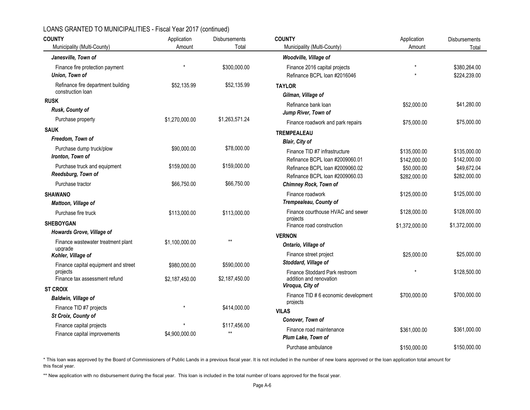| <b>COUNTY</b>                                           | Application                       | Disbursements  | <b>COUNTY</b>                                   | Application    | Disbursements  |
|---------------------------------------------------------|-----------------------------------|----------------|-------------------------------------------------|----------------|----------------|
| Municipality (Multi-County)                             | Amount                            | Total          | Municipality (Multi-County)                     | Amount         | Total          |
| Janesville, Town of                                     |                                   |                | Woodville, Village of                           |                |                |
| Finance fire protection payment                         |                                   | \$300,000.00   | Finance 2016 capital projects                   |                | \$380,264.00   |
| Union, Town of                                          |                                   |                | Refinance BCPL loan #2016046                    |                | \$224,239.00   |
| Refinance fire department building<br>construction loan | \$52,135.99                       | \$52,135.99    | <b>TAYLOR</b><br>Gilman, Village of             |                |                |
| <b>RUSK</b>                                             |                                   |                | Refinance bank loan                             | \$52,000.00    | \$41,280.00    |
| Rusk, County of                                         |                                   |                | Jump River, Town of                             |                |                |
| Purchase property                                       | \$1,270,000.00                    | \$1,263,571.24 | Finance roadwork and park repairs               | \$75,000.00    | \$75,000.00    |
| <b>SAUK</b>                                             |                                   |                | <b>TREMPEALEAU</b>                              |                |                |
| Freedom, Town of                                        |                                   |                | Blair, City of                                  |                |                |
| Purchase dump truck/plow                                | \$90,000.00                       | \$78,000.00    | Finance TID #7 infrastructure                   | \$135,000.00   | \$135,000.00   |
| Ironton, Town of                                        |                                   |                | Refinance BCPL loan #2009060.01                 | \$142,000.00   | \$142,000.00   |
| Purchase truck and equipment                            | \$159,000.00                      | \$159,000.00   | Refinance BCPL loan #2009060.02                 | \$50,000.00    | \$49,672.04    |
| Reedsburg, Town of                                      |                                   |                | Refinance BCPL loan #2009060.03                 | \$282,000.00   | \$282,000.00   |
| Purchase tractor                                        | \$66,750.00                       | \$66,750.00    | <b>Chimney Rock, Town of</b>                    |                |                |
| <b>SHAWANO</b>                                          |                                   |                | Finance roadwork                                | \$125,000.00   | \$125,000.00   |
| Mattoon, Village of                                     |                                   |                | Trempealeau, County of                          |                |                |
| Purchase fire truck                                     | \$113,000.00                      | \$113,000.00   | Finance courthouse HVAC and sewer               | \$128,000.00   | \$128,000.00   |
| <b>SHEBOYGAN</b>                                        |                                   |                | projects<br>Finance road construction           | \$1,372,000.00 | \$1,372,000.00 |
| Howards Grove, Village of                               |                                   |                | <b>VERNON</b>                                   |                |                |
| Finance wastewater treatment plant                      | \$1,100,000.00                    | $**$           | Ontario, Village of                             |                |                |
| upgrade<br>Kohler, Village of                           |                                   |                | Finance street project                          | \$25,000.00    | \$25,000.00    |
| Finance capital equipment and street                    | \$980,000.00                      | \$590,000.00   | Stoddard, Village of                            |                |                |
| projects                                                |                                   |                | Finance Stoddard Park restroom                  |                | \$128,500.00   |
| Finance tax assessment refund                           | \$2,187,450.00                    | \$2,187,450.00 | addition and renovation<br>Viroqua, City of     |                |                |
| <b>ST CROIX</b>                                         |                                   |                |                                                 |                |                |
| <b>Baldwin, Village of</b>                              |                                   |                | Finance TID #6 economic development<br>projects | \$700,000.00   | \$700,000.00   |
| Finance TID #7 projects                                 |                                   | \$414,000.00   | <b>VILAS</b>                                    |                |                |
| St Croix, County of                                     |                                   |                | Conover, Town of                                |                |                |
| Finance capital projects                                |                                   | \$117,456.00   | Finance road maintenance                        | \$361,000.00   | \$361,000.00   |
| Finance capital improvements                            | $^{\star\star}$<br>\$4,900,000.00 |                | Plum Lake, Town of                              |                |                |
|                                                         |                                   |                | Purchase ambulance                              | \$150,000.00   | \$150,000.00   |

\* This loan was approved by the Board of Commissioners of Public Lands in a previous fiscal year. It is not included in the number of new loans approved or the loan application total amount for this fiscal year.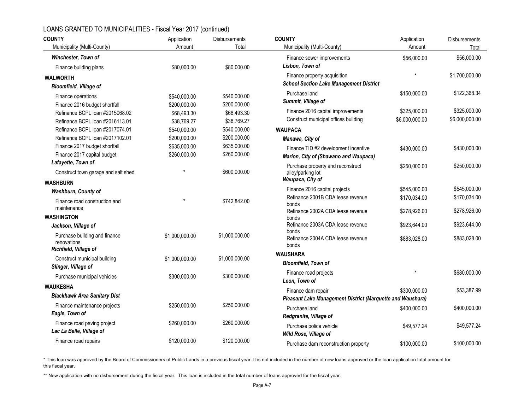| <b>COUNTY</b>                                | Application    | <b>Disbursements</b> | <b>COUNTY</b>                                                                   | Application                  | Disbursements                |
|----------------------------------------------|----------------|----------------------|---------------------------------------------------------------------------------|------------------------------|------------------------------|
| Municipality (Multi-County)                  | Amount         | Total                | Municipality (Multi-County)                                                     | Amount                       | Total                        |
| <b>Winchester, Town of</b>                   |                |                      | Finance sewer improvements                                                      | \$56,000.00                  | \$56,000.00                  |
| Finance building plans                       | \$80,000.00    | \$80,000.00          | Lisbon, Town of                                                                 |                              |                              |
| <b>WALWORTH</b>                              |                |                      | Finance property acquisition<br><b>School Section Lake Management District</b>  | $\star$                      | \$1,700,000.00               |
| <b>Bloomfield, Village of</b>                |                |                      | Purchase land                                                                   | \$150,000.00                 | \$122,368.34                 |
| Finance operations                           | \$540,000.00   | \$540,000.00         | Summit, Village of                                                              |                              |                              |
| Finance 2016 budget shortfall                | \$200,000.00   | \$200,000.00         |                                                                                 |                              |                              |
| Refinance BCPL loan #2015068.02              | \$68,493.30    | \$68,493.30          | Finance 2016 capital improvements                                               | \$325,000.00                 | \$325,000.00                 |
| Refinance BCPL Ioan #2016113.01              | \$38,769.27    | \$38,769.27          | Construct municipal offices building                                            | \$6,000,000.00               | \$6,000,000.00               |
| Refinance BCPL loan #2017074.01              | \$540,000.00   | \$540,000.00         | <b>WAUPACA</b>                                                                  |                              |                              |
| Refinance BCPL loan #2017102.01              | \$200,000.00   | \$200,000.00         | Manawa, City of                                                                 |                              |                              |
| Finance 2017 budget shortfall                | \$635,000.00   | \$635,000.00         | Finance TID #2 development incentive                                            | \$430,000.00                 | \$430,000.00                 |
| Finance 2017 capital budget                  | \$260,000.00   | \$260,000.00         | Marion, City of (Shawano and Waupaca)                                           |                              |                              |
| Lafayette, Town of                           |                |                      | Purchase property and reconstruct                                               | \$250,000.00                 | \$250,000.00                 |
| Construct town garage and salt shed          |                | \$600,000.00         | alley/parking lot<br>Waupaca, City of                                           |                              |                              |
| <b>WASHBURN</b>                              |                |                      |                                                                                 |                              | \$545,000.00                 |
| <b>Washburn, County of</b>                   |                |                      | Finance 2016 capital projects                                                   | \$545,000.00                 |                              |
| Finance road construction and<br>maintenance |                | \$742,842.00         | Refinance 2001B CDA lease revenue<br>bonds<br>Refinance 2002A CDA lease revenue | \$170.034.00<br>\$278,926.00 | \$170,034.00<br>\$278,926.00 |
| <b>WASHINGTON</b>                            |                |                      | bonds                                                                           |                              |                              |
| Jackson, Village of                          |                |                      | Refinance 2003A CDA lease revenue                                               | \$923,644.00                 | \$923,644.00                 |
| Purchase building and finance                | \$1,000,000.00 | \$1,000,000.00       | bonds                                                                           |                              |                              |
| renovations                                  |                |                      | Refinance 2004A CDA lease revenue                                               | \$883,028.00                 | \$883,028.00                 |
| Richfield, Village of                        |                |                      | bonds                                                                           |                              |                              |
| Construct municipal building                 | \$1,000,000.00 | \$1,000,000.00       | <b>WAUSHARA</b>                                                                 |                              |                              |
| Slinger, Village of                          |                |                      | <b>Bloomfield, Town of</b>                                                      |                              |                              |
| Purchase municipal vehicles                  | \$300,000.00   | \$300,000.00         | Finance road projects<br>Leon, Town of                                          |                              | \$680,000.00                 |
| <b>WAUKESHA</b>                              |                |                      |                                                                                 |                              | \$53,387.99                  |
| <b>Blackhawk Area Sanitary Dist</b>          |                |                      | Finance dam repair                                                              | \$300,000.00                 |                              |
| Finance maintenance projects                 | \$250,000.00   | \$250,000.00         | Pleasant Lake Management District (Marquette and Waushara)                      |                              |                              |
| Eagle, Town of                               |                |                      | Purchase land                                                                   | \$400,000.00                 | \$400,000.00                 |
|                                              |                |                      | Redgranite, Village of                                                          |                              |                              |
| Finance road paving project                  | \$260,000.00   | \$260,000.00         | Purchase police vehicle                                                         | \$49,577.24                  | \$49,577.24                  |
| Lac La Belle, Village of                     |                |                      | Wild Rose, Village of                                                           |                              |                              |
| Finance road repairs                         | \$120,000.00   | \$120,000.00         | Purchase dam reconstruction property                                            | \$100,000.00                 | \$100,000.00                 |

\* This loan was approved by the Board of Commissioners of Public Lands in a previous fiscal year. It is not included in the number of new loans approved or the loan application total amount for this fiscal year.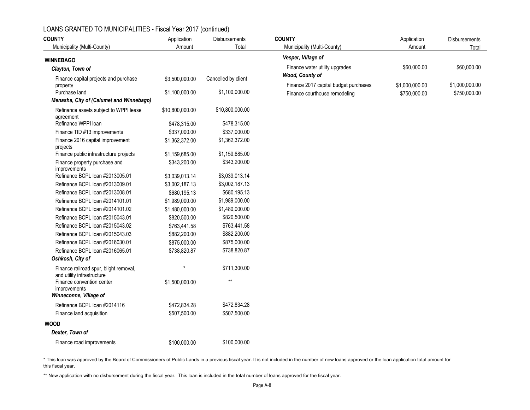| <b>COUNTY</b>                                                        | Application     | <b>Disbursements</b> | <b>COUNTY</b>                                     | Application    | Disbursements  |
|----------------------------------------------------------------------|-----------------|----------------------|---------------------------------------------------|----------------|----------------|
| Municipality (Multi-County)                                          | Amount          | Total                | Municipality (Multi-County)                       | Amount         | Total          |
| <b>WINNEBAGO</b>                                                     |                 |                      | Vesper, Village of                                |                |                |
| Clayton, Town of                                                     |                 |                      | Finance water utility upgrades<br>Wood, County of | \$60,000.00    | \$60,000.00    |
| Finance capital projects and purchase<br>property                    | \$3,500,000.00  | Cancelled by client  | Finance 2017 capital budget purchases             | \$1,000,000.00 | \$1,000,000.00 |
| Purchase land                                                        | \$1,100,000.00  | \$1,100,000.00       | Finance courthouse remodeling                     | \$750,000.00   | \$750,000.00   |
| Menasha, City of (Calumet and Winnebago)                             |                 |                      |                                                   |                |                |
| Refinance assets subject to WPPI lease<br>agreement                  | \$10,800,000.00 | \$10,800,000.00      |                                                   |                |                |
| Refinance WPPI loan                                                  | \$478,315.00    | \$478,315.00         |                                                   |                |                |
| Finance TID #13 improvements                                         | \$337,000.00    | \$337,000.00         |                                                   |                |                |
| Finance 2016 capital improvement<br>projects                         | \$1,362,372.00  | \$1,362,372.00       |                                                   |                |                |
| Finance public infrastructure projects                               | \$1,159,685.00  | \$1,159,685.00       |                                                   |                |                |
| Finance property purchase and<br><i>improvements</i>                 | \$343,200.00    | \$343,200.00         |                                                   |                |                |
| Refinance BCPL loan #2013005.01                                      | \$3,039,013.14  | \$3,039,013.14       |                                                   |                |                |
| Refinance BCPL loan #2013009.01                                      | \$3,002,187.13  | \$3,002,187.13       |                                                   |                |                |
| Refinance BCPL loan #2013008.01                                      | \$680,195.13    | \$680,195.13         |                                                   |                |                |
| Refinance BCPL loan #2014101.01                                      | \$1,989,000.00  | \$1,989,000.00       |                                                   |                |                |
| Refinance BCPL loan #2014101.02                                      | \$1,480,000.00  | \$1,480,000.00       |                                                   |                |                |
| Refinance BCPL loan #2015043.01                                      | \$820,500.00    | \$820,500.00         |                                                   |                |                |
| Refinance BCPL loan #2015043.02                                      | \$763,441.58    | \$763,441.58         |                                                   |                |                |
| Refinance BCPL loan #2015043.03                                      | \$882,200.00    | \$882,200.00         |                                                   |                |                |
| Refinance BCPL loan #2016030.01                                      | \$875,000.00    | \$875,000.00         |                                                   |                |                |
| Refinance BCPL loan #2016065.01                                      | \$738,820.87    | \$738,820.87         |                                                   |                |                |
| Oshkosh, City of                                                     |                 |                      |                                                   |                |                |
| Finance railroad spur, blight removal,<br>and utility infrastructure |                 | \$711,300.00         |                                                   |                |                |
| Finance convention center<br>improvements<br>Winneconne, Village of  | \$1,500,000.00  | $\star\star$         |                                                   |                |                |
| Refinance BCPL Ioan #2014116                                         | \$472,834.28    | \$472,834.28         |                                                   |                |                |
| Finance land acquisition                                             | \$507,500.00    | \$507,500.00         |                                                   |                |                |
| <b>WOOD</b>                                                          |                 |                      |                                                   |                |                |
| Dexter, Town of                                                      |                 |                      |                                                   |                |                |
| Finance road improvements                                            | \$100,000.00    | \$100,000.00         |                                                   |                |                |

\* This loan was approved by the Board of Commissioners of Public Lands in a previous fiscal year. It is not included in the number of new loans approved or the loan application total amount for this fiscal year.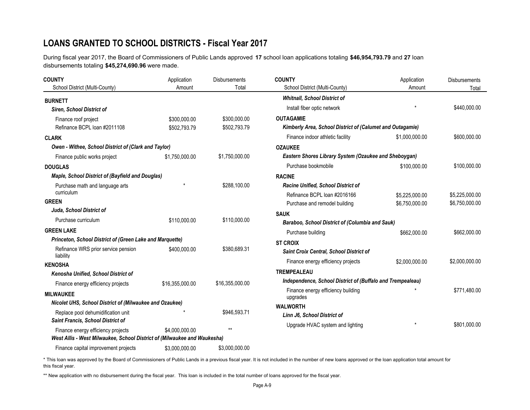# **LOANS GRANTED TO SCHOOL DISTRICTS - Fiscal Year 2017**

During fiscal year 2017, the Board of Commissioners of Public Lands approved **17** school loan applications totaling **\$46,954,793.79** and **27** loan disbursements totaling **\$45,274,690.96** were made.

| <b>COUNTY</b>                                                            | Application     | <b>Disbursements</b> | <b>COUNTY</b>                                                    | Application    | Disbursements  |  |
|--------------------------------------------------------------------------|-----------------|----------------------|------------------------------------------------------------------|----------------|----------------|--|
| School District (Multi-County)                                           | Amount          | Total                | School District (Multi-County)                                   | Amount         | Total          |  |
| <b>BURNETT</b>                                                           |                 |                      | <b>Whitnall, School District of</b>                              |                |                |  |
| <b>Siren, School District of</b>                                         |                 |                      | Install fiber optic network                                      |                | \$440,000.00   |  |
| Finance roof project                                                     | \$300,000.00    | \$300,000.00         | <b>OUTAGAMIE</b>                                                 |                |                |  |
| Refinance BCPL loan #2011108                                             | \$502,793.79    | \$502,793.79         | <b>Kimberly Area, School District of (Calumet and Outagamie)</b> |                |                |  |
| <b>CLARK</b>                                                             |                 |                      | Finance indoor athletic facility                                 | \$1,000,000.00 | \$600,000.00   |  |
| Owen - Withee, School District of (Clark and Taylor)                     |                 |                      | <b>OZAUKEE</b>                                                   |                |                |  |
| Finance public works project                                             | \$1,750,000.00  | \$1,750,000.00       | Eastern Shores Library System (Ozaukee and Sheboygan)            |                |                |  |
| <b>DOUGLAS</b>                                                           |                 |                      | Purchase bookmobile                                              | \$100,000.00   | \$100,000.00   |  |
| Maple, School District of (Bayfield and Douglas)                         |                 |                      | <b>RACINE</b>                                                    |                |                |  |
| Purchase math and language arts                                          |                 | \$288,100.00         | <b>Racine Unified, School District of</b>                        |                |                |  |
| curriculum                                                               |                 |                      | Refinance BCPL loan #2016166                                     | \$5,225,000.00 | \$5,225,000.00 |  |
| <b>GREEN</b>                                                             |                 |                      | Purchase and remodel building                                    | \$6,750,000.00 | \$6,750,000.00 |  |
| Juda, School District of                                                 |                 |                      | <b>SAUK</b>                                                      |                |                |  |
| Purchase curriculum                                                      | \$110,000.00    | \$110,000.00         | Baraboo, School District of (Columbia and Sauk)                  |                |                |  |
| <b>GREEN LAKE</b>                                                        |                 |                      | Purchase building                                                | \$662,000.00   | \$662,000.00   |  |
| Princeton, School District of (Green Lake and Marquette)                 |                 |                      | <b>ST CROIX</b>                                                  |                |                |  |
| Refinance WRS prior service pension<br>liability                         | \$400,000.00    | \$380,689.31         | Saint Croix Central, School District of                          |                |                |  |
| <b>KENOSHA</b>                                                           |                 |                      | Finance energy efficiency projects                               | \$2,000,000.00 | \$2,000,000.00 |  |
| Kenosha Unified, School District of                                      |                 |                      | <b>TREMPEALEAU</b>                                               |                |                |  |
| Finance energy efficiency projects                                       | \$16,355,000.00 | \$16,355,000.00      | Independence, School District of (Buffalo and Trempealeau)       |                |                |  |
| <b>MILWAUKEE</b>                                                         |                 |                      | Finance energy efficiency building<br>upgrades                   |                | \$771,480.00   |  |
| Nicolet UHS, School District of (Milwaukee and Ozaukee)                  |                 |                      | <b>WALWORTH</b>                                                  |                |                |  |
| Replace pool dehumidification unit                                       |                 | \$946,593.71         | Linn J6, School District of                                      |                |                |  |
| Saint Francis, School District of                                        |                 |                      | Upgrade HVAC system and lighting                                 |                | \$801,000.00   |  |
| Finance energy efficiency projects                                       | \$4,000,000.00  | $**$                 |                                                                  |                |                |  |
| West Allis - West Milwaukee, School District of (Milwaukee and Waukesha) |                 |                      |                                                                  |                |                |  |
| Finance capital improvement projects                                     | \$3,000,000.00  | \$3,000,000.00       |                                                                  |                |                |  |

\* This loan was approved by the Board of Commissioners of Public Lands in a previous fiscal year. It is not included in the number of new loans approved or the loan application total amount for this fiscal year.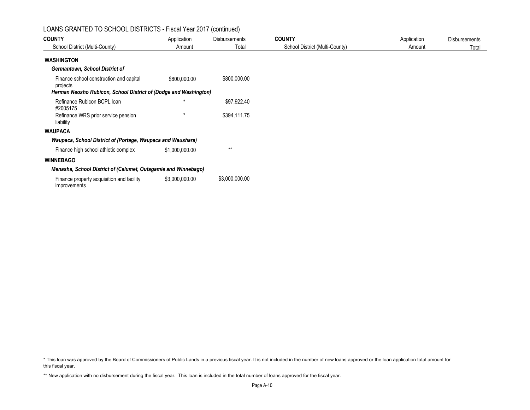### LOANS GRANTED TO SCHOOL DISTRICTS - Fiscal Year 2017 (continued)

| <b>COUNTY</b>                                                    | Application    | <b>Disbursements</b> | <b>COUNTY</b>                  | Application | <b>Disbursements</b> |
|------------------------------------------------------------------|----------------|----------------------|--------------------------------|-------------|----------------------|
| School District (Multi-County)                                   | Amount         | Total                | School District (Multi-County) | Amount      | Total                |
| <b>WASHINGTON</b>                                                |                |                      |                                |             |                      |
| <b>Germantown, School District of</b>                            |                |                      |                                |             |                      |
| Finance school construction and capital<br>projects              | \$800,000.00   | \$800,000.00         |                                |             |                      |
| Herman Neosho Rubicon, School District of (Dodge and Washington) |                |                      |                                |             |                      |
| Refinance Rubicon BCPL loan<br>#2005175                          | $\star$        | \$97,922.40          |                                |             |                      |
| Refinance WRS prior service pension<br>liability                 |                | \$394,111.75         |                                |             |                      |
| <b>WAUPACA</b>                                                   |                |                      |                                |             |                      |
| Waupaca, School District of (Portage, Waupaca and Waushara)      |                |                      |                                |             |                      |
| Finance high school athletic complex                             | \$1,000,000.00 | $***$                |                                |             |                      |
| <b>WINNEBAGO</b>                                                 |                |                      |                                |             |                      |
| Menasha, School District of (Calumet, Outagamie and Winnebago)   |                |                      |                                |             |                      |
| Finance property acquisition and facility<br><i>improvements</i> | \$3,000,000.00 | \$3,000,000.00       |                                |             |                      |

<sup>\*</sup> This loan was approved by the Board of Commissioners of Public Lands in a previous fiscal year. It is not included in the number of new loans approved or the loan application total amount for this fiscal year.

<sup>\*\*</sup> New application with no disbursement during the fiscal year. This loan is included in the total number of loans approved for the fiscal year.